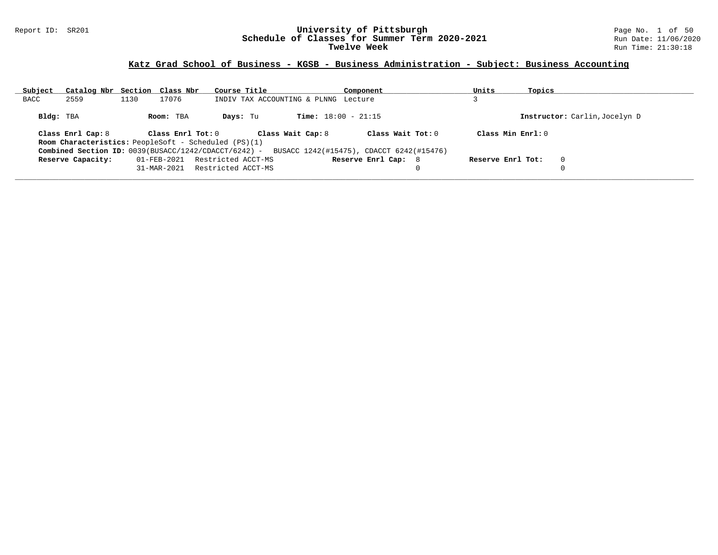#### Report ID: SR201 **University of Pittsburgh** Page No. 1 of 50 **Schedule of Classes for Summer Term 2020-2021** Run Date: 11/06/2020 **Twelve Week** Run Time: 21:30:18

### **Katz Grad School of Business - KGSB - Business Administration - Subject: Business Accounting**

| Subject   | Catalog Nbr Section Class Nbr |      |                   | Course Title                                                |                                                                                               | Component           | Units             | Topics |                               |
|-----------|-------------------------------|------|-------------------|-------------------------------------------------------------|-----------------------------------------------------------------------------------------------|---------------------|-------------------|--------|-------------------------------|
| BACC      | 2559                          | 1130 | 17076             |                                                             | INDIV TAX ACCOUNTING & PLNNG Lecture                                                          |                     |                   |        |                               |
| Bldg: TBA |                               |      | Room: TBA         | Days: Tu                                                    | <b>Time:</b> $18:00 - 21:15$                                                                  |                     |                   |        | Instructor: Carlin, Jocelyn D |
|           | Class Enrl Cap: 8             |      | Class Enrl Tot: 0 | <b>Room Characteristics:</b> PeopleSoft - Scheduled (PS)(1) | Class Wait Cap: 8                                                                             | Class Wait $Tot: 0$ | Class Min Enrl: 0 |        |                               |
|           |                               |      |                   |                                                             | Combined Section ID: 0039(BUSACC/1242/CDACCT/6242) - BUSACC 1242(#15475), CDACCT 6242(#15476) |                     |                   |        |                               |
|           | Reserve Capacity:             |      | 01-FEB-2021       | Restricted ACCT-MS                                          |                                                                                               | Reserve Enrl Cap: 8 | Reserve Enrl Tot: |        | $\Omega$                      |
|           |                               |      | 31-MAR-2021       | Restricted ACCT-MS                                          |                                                                                               |                     |                   |        |                               |
|           |                               |      |                   |                                                             |                                                                                               |                     |                   |        |                               |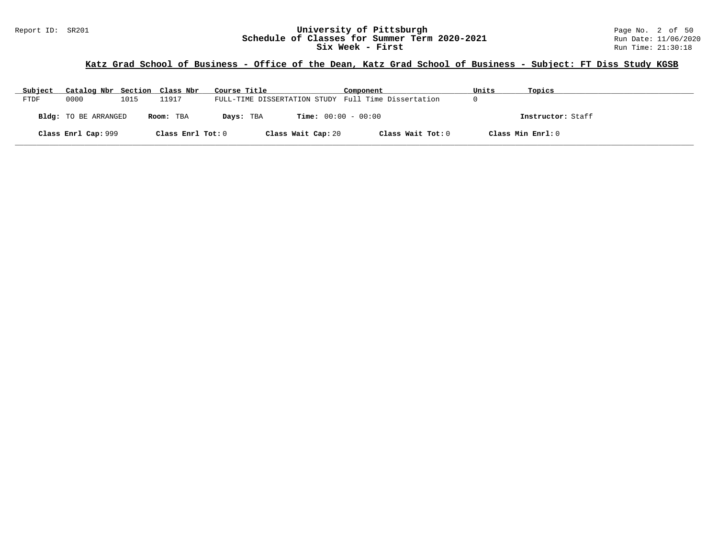### Report ID: SR201 **1988 Mage 10: Schedule of Classes for Summer Term 2020-2021** Page No. 2 of 50<br>**Schedule of Classes for Summer Term 2020-2021** Run Date: 11/06/2020 **Schedule of Classes for Summer Term 2020-2021** Run Date: 11/06/2021<br>Six Week - First Run Time: 21:30:18 Six Week - First

# **Katz Grad School of Business - Office of the Dean, Katz Grad School of Business - Subject: FT Diss Study KGSB**

| Subject | Catalog Nbr Section Class Nbr |      |                   | Course Title                                        | Component         | Units | Topics            |
|---------|-------------------------------|------|-------------------|-----------------------------------------------------|-------------------|-------|-------------------|
| FTDF    | 0000                          | 1015 | 11917             | FULL-TIME DISSERTATION STUDY Full Time Dissertation |                   |       |                   |
|         | Bldg: TO BE ARRANGED          |      | Room: TBA         | <b>Time:</b> $00:00 - 00:00$<br>Days: TBA           |                   |       | Instructor: Staff |
|         | Class Enrl Cap: 999           |      | Class Enrl Tot: 0 | Class Wait Cap: 20                                  | Class Wait Tot: 0 |       | Class Min Enrl: 0 |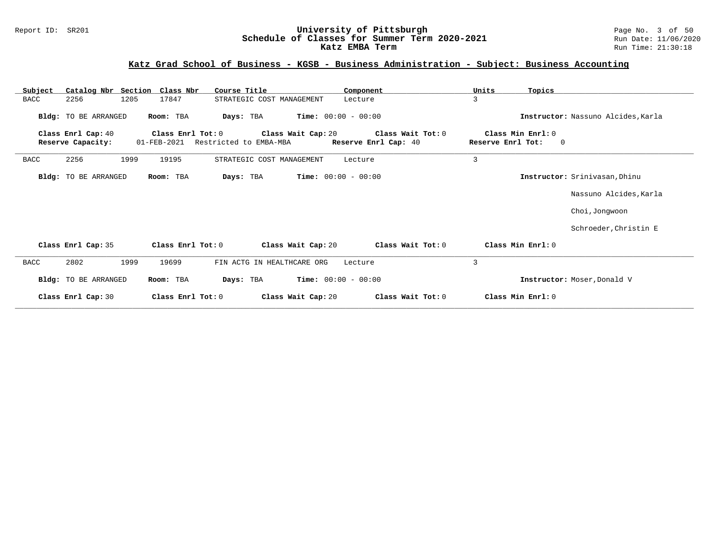### Report ID: SR201 **University of Pittsburgh** Page No. 3 of 50 **Schedule of Classes for Summer Term 2020-2021** Run Date: 11/06/2020 **Katz EMBA Term Run Time: 21:30:18**

# **Katz Grad School of Business - KGSB - Business Administration - Subject: Business Accounting**

| Subject     | Catalog Nbr Section Class Nbr           |      |                                  | Course Title               |                              | Component                                 | Units             | Topics                        |                                    |
|-------------|-----------------------------------------|------|----------------------------------|----------------------------|------------------------------|-------------------------------------------|-------------------|-------------------------------|------------------------------------|
| <b>BACC</b> | 2256                                    | 1205 | 17847                            | STRATEGIC COST MANAGEMENT  |                              | Lecture                                   | 3                 |                               |                                    |
|             | Bldg: TO BE ARRANGED                    |      | Room: TBA                        | Days: TBA                  | <b>Time:</b> $00:00 - 00:00$ |                                           |                   |                               | Instructor: Nassuno Alcides, Karla |
|             | Class Enrl Cap: 40<br>Reserve Capacity: |      | Class Enrl Tot: 0<br>01-FEB-2021 | Restricted to EMBA-MBA     | Class Wait Cap: 20           | Class Wait Tot: 0<br>Reserve Enrl Cap: 40 | Reserve Enrl Tot: | Class Min Enrl: 0<br>$\Omega$ |                                    |
| <b>BACC</b> | 2256                                    | 1999 | 19195                            | STRATEGIC COST MANAGEMENT  |                              | Lecture                                   | $\overline{3}$    |                               |                                    |
|             | Bldg: TO BE ARRANGED                    |      | Room: TBA                        | Days: TBA                  | <b>Time:</b> $00:00 - 00:00$ |                                           |                   |                               | Instructor: Srinivasan, Dhinu      |
|             |                                         |      |                                  |                            |                              |                                           |                   |                               | Nassuno Alcides, Karla             |
|             |                                         |      |                                  |                            |                              |                                           |                   |                               | Choi, Jongwoon                     |
|             |                                         |      |                                  |                            |                              |                                           |                   |                               | Schroeder, Christin E              |
|             | Class Enrl Cap: 35                      |      | Class Enrl Tot: 0                |                            | Class Wait Cap: 20           | Class Wait Tot: 0                         |                   | Class Min Enrl: 0             |                                    |
| <b>BACC</b> | 2802                                    | 1999 | 19699                            | FIN ACTG IN HEALTHCARE ORG |                              | Lecture                                   | 3                 |                               |                                    |
|             | Bldg: TO BE ARRANGED                    |      | Room: TBA                        | Days: TBA                  | <b>Time:</b> $00:00 - 00:00$ |                                           |                   |                               | Instructor: Moser, Donald V        |
|             | Class Enrl Cap: 30                      |      | Class Enrl Tot: 0                |                            | Class Wait Cap: 20           | Class Wait Tot: 0                         |                   | Class Min Enrl: 0             |                                    |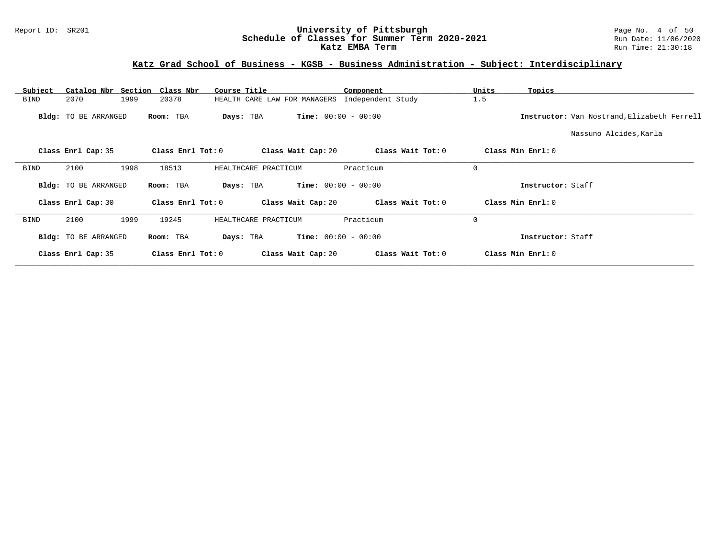### Report ID: SR201 **University of Pittsburgh** Page No. 4 of 50 **Schedule of Classes for Summer Term 2020-2021** Run Date: 11/06/2020 **Katz EMBA Term Run Time: 21:30:18**

# **Katz Grad School of Business - KGSB - Business Administration - Subject: Interdisciplinary**

| Catalog Nbr Section<br>Subject | Class Nbr           | Course Title                              | Component         | Units<br>Topics   |                                             |
|--------------------------------|---------------------|-------------------------------------------|-------------------|-------------------|---------------------------------------------|
| <b>BIND</b><br>2070            | 1999<br>20378       | HEALTH CARE LAW FOR MANAGERS              | Independent Study | 1.5               |                                             |
| Bldg: TO BE ARRANGED           | Room: TBA           | <b>Time:</b> $00:00 - 00:00$<br>Days: TBA |                   |                   | Instructor: Van Nostrand, Elizabeth Ferrell |
|                                |                     |                                           |                   |                   | Nassuno Alcides, Karla                      |
| Class Enrl Cap: 35             | Class Enrl Tot: 0   | Class Wait Cap: 20                        | Class Wait Tot: 0 | Class Min Enrl: 0 |                                             |
| 2100<br><b>BIND</b>            | 1998<br>18513       | HEALTHCARE PRACTICUM                      | Practicum         | $\mathbf 0$       |                                             |
| Bldg: TO BE ARRANGED           | Room: TBA           | <b>Time:</b> $00:00 - 00:00$<br>Days: TBA |                   | Instructor: Staff |                                             |
| Class Enrl Cap: 30             | Class Enrl Tot: 0   | Class Wait Cap: 20                        | Class Wait Tot: 0 | Class Min Enrl: 0 |                                             |
| 2100<br>BIND                   | 1999<br>19245       | HEALTHCARE PRACTICUM                      | Practicum         | $\mathbf 0$       |                                             |
| Bldg: TO BE ARRANGED           | Room: TBA           | <b>Time:</b> $00:00 - 00:00$<br>Days: TBA |                   | Instructor: Staff |                                             |
| Class Enrl Cap: 35             | Class Enrl Tot: $0$ | Class Wait Cap: 20                        | Class Wait Tot: 0 | Class Min Enrl: 0 |                                             |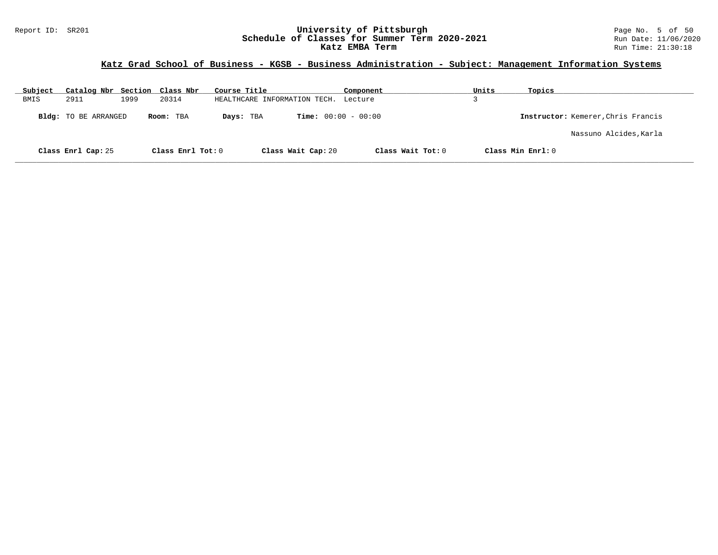### Report ID: SR201 **University of Pittsburgh** Page No. 5 of 50 **Schedule of Classes for Summer Term 2020-2021** Run Date: 11/06/2020 **Katz EMBA Term Run Time: 21:30:18**

# **Katz Grad School of Business - KGSB - Business Administration - Subject: Management Information Systems**

| Subject | Catalog Nbr Section Class Nbr |      |                   | Course Title                 |                              | Component         | Units | Topics                             |
|---------|-------------------------------|------|-------------------|------------------------------|------------------------------|-------------------|-------|------------------------------------|
| BMIS    | 2911                          | 1999 | 20314             | HEALTHCARE INFORMATION TECH. |                              | Lecture           |       |                                    |
|         | <b>Bldg:</b> TO BE ARRANGED   |      | Room: TBA         | Days: TBA                    | <b>Time:</b> $00:00 - 00:00$ |                   |       | Instructor: Kemerer, Chris Francis |
|         |                               |      |                   |                              |                              |                   |       | Nassuno Alcides, Karla             |
|         | Class Enrl Cap: 25            |      | Class Enrl Tot: 0 |                              | Class Wait Cap: 20           | Class Wait Tot: 0 |       | Class Min Enrl: 0                  |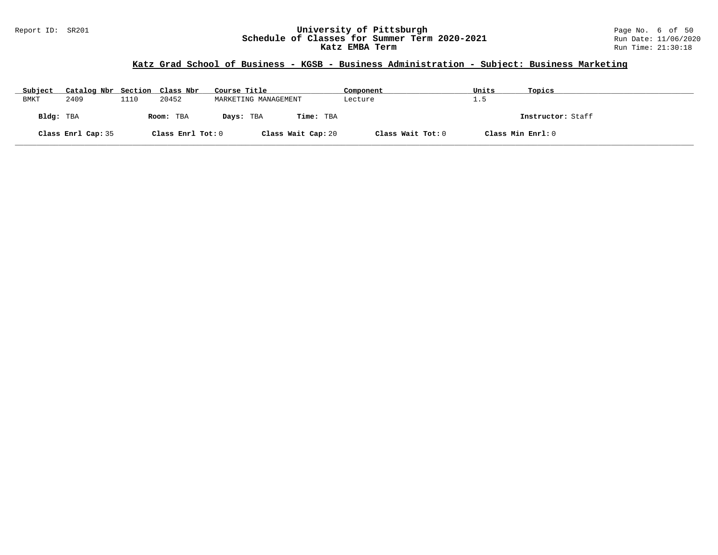### Report ID: SR201 **University of Pittsburgh** Page No. 6 of 50 **Schedule of Classes for Summer Term 2020-2021** Run Date: 11/06/2020 **Katz EMBA Term Run Time: 21:30:18**

# **Katz Grad School of Business - KGSB - Business Administration - Subject: Business Marketing**

| Subject | Catalog Nbr Section Class Nbr |      |                   | Course Title         |                    | Component         | Units             | Topics            |
|---------|-------------------------------|------|-------------------|----------------------|--------------------|-------------------|-------------------|-------------------|
| BMKT    | 2409                          | 1110 | 20452             | MARKETING MANAGEMENT |                    | Lecture           | 1.5               |                   |
|         | Bldg: TBA                     |      | Room: TBA         | Days: TBA            | <b>Time:</b> TBA   |                   |                   | Instructor: Staff |
|         | Class Enrl Cap: 35            |      | Class Enrl Tot: 0 |                      | Class Wait Cap: 20 | Class Wait Tot: 0 | Class Min Enrl: 0 |                   |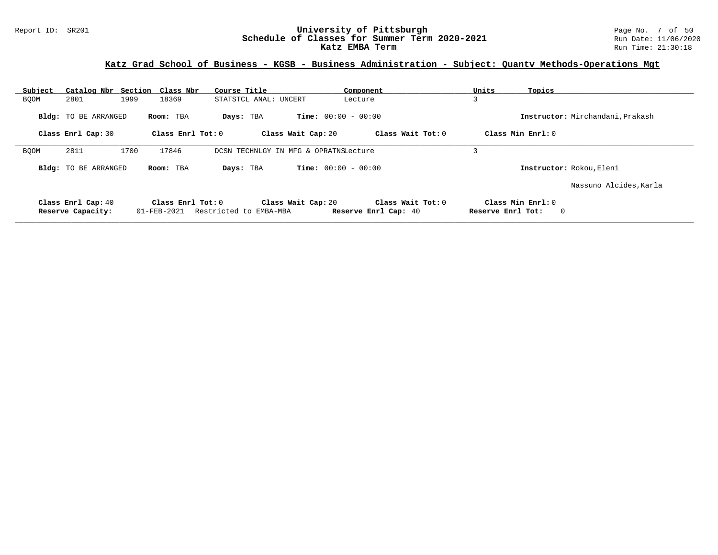# **Katz Grad School of Business - KGSB - Business Administration - Subject: Quantv Methods-Operations Mgt**

| Subject     |                             | Catalog Nbr Section Class Nbr | Course Title                          | Component                    | Units                  | Topics                           |
|-------------|-----------------------------|-------------------------------|---------------------------------------|------------------------------|------------------------|----------------------------------|
| <b>BOOM</b> | 2801                        | 1999<br>18369                 | STATSTCL ANAL: UNCERT                 | Lecture                      | $\mathbf{\Omega}$<br>⊃ |                                  |
|             | <b>Bldg:</b> TO BE ARRANGED | Room: TBA                     | Days: TBA                             | <b>Time:</b> $00:00 - 00:00$ |                        | Instructor: Mirchandani, Prakash |
|             | Class Enrl Cap: 30          | Class $Enr1 Tot: 0$           | Class Wait Cap: 20                    | Class Wait Tot: 0            |                        | Class Min Enrl: 0                |
| <b>BOOM</b> | 2811                        | 1700<br>17846                 | DCSN TECHNLGY IN MFG & OPRATNSLecture |                              |                        |                                  |
|             | <b>Bldg:</b> TO BE ARRANGED | Room: TBA                     | Days: TBA                             | <b>Time:</b> $00:00 - 00:00$ |                        | Instructor: Rokou, Eleni         |
|             |                             |                               |                                       |                              |                        | Nassuno Alcides, Karla           |
|             | Class Enrl Cap: 40          | Class Enrl Tot: 0             | Class Wait Cap: 20                    | Class Wait Tot: 0            |                        | Class Min Enrl: 0                |
|             | Reserve Capacity:           | 01-FEB-2021                   | Restricted to EMBA-MBA                | Reserve Enrl Cap: 40         | Reserve Enrl Tot:      | $\mathbf 0$                      |
|             |                             |                               |                                       |                              |                        |                                  |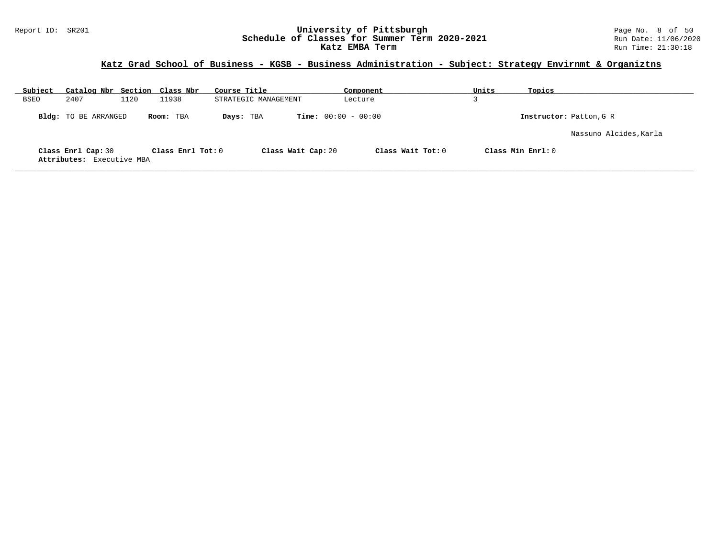### Report ID: SR201 **University of Pittsburgh** Page No. 8 of 50 **Schedule of Classes for Summer Term 2020-2021** Run Date: 11/06/2020 **Katz EMBA Term Run Time: 21:30:18**

# **Katz Grad School of Business - KGSB - Business Administration - Subject: Strategy Envirnmt & Organiztns**

| Subject | Catalog Nbr Section Class Nbr                   |      |                   | Course Title         | Component                    | Units             | Topics                  |
|---------|-------------------------------------------------|------|-------------------|----------------------|------------------------------|-------------------|-------------------------|
| BSEO    | 2407                                            | 1120 | 11938             | STRATEGIC MANAGEMENT | Lecture                      |                   |                         |
|         | Bldg: TO BE ARRANGED                            |      | Room: TBA         | Days: TBA            | <b>Time:</b> $00:00 - 00:00$ |                   | Instructor: Patton, G R |
|         |                                                 |      |                   |                      |                              |                   | Nassuno Alcides, Karla  |
|         | Class Enrl Cap: 30<br>Attributes: Executive MBA |      | Class Enrl Tot: 0 | Class Wait Cap: 20   | Class Wait Tot: $0$          | Class Min Enrl: 0 |                         |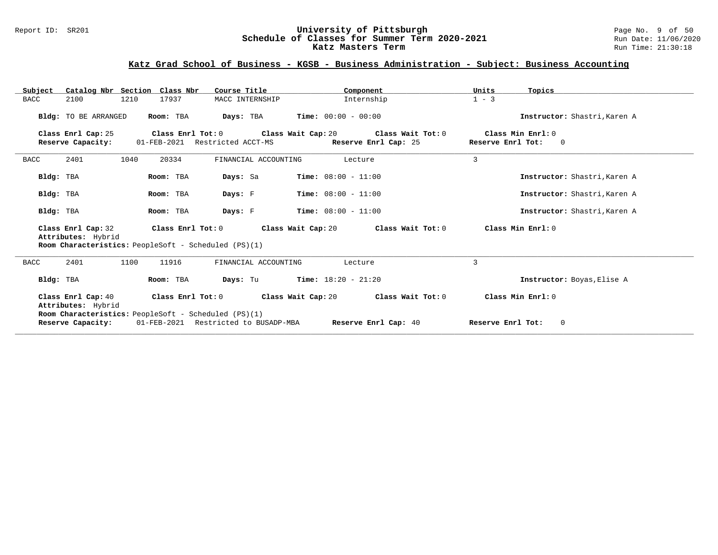#### Report ID: SR201 **University of Pittsburgh** Page No. 9 of 50 **Schedule of Classes for Summer Term 2020-2021** Run Date: 11/06/2020 **Katz Masters Term Run Time: 21:30:18** Run Time: 21:30:18

# **Katz Grad School of Business - KGSB - Business Administration - Subject: Business Accounting**

| Catalog Nbr Section Class Nbr<br>Subject | Course Title                                                              | Component                                                    | Units<br>Topics                     |
|------------------------------------------|---------------------------------------------------------------------------|--------------------------------------------------------------|-------------------------------------|
| 2100<br>1210<br>BACC                     | 17937<br>MACC INTERNSHIP                                                  | Internship                                                   | $1 - 3$                             |
| Bldg: TO BE ARRANGED                     | Room: TBA                                                                 | <b>Days:</b> TBA <b>Time:</b> $00:00 - 00:00$                | Instructor: Shastri, Karen A        |
| Class Enrl Cap: 25                       |                                                                           | Class Enrl Tot: $0$ Class Wait Cap: $20$ Class Wait Tot: $0$ | Class Min Enrl: 0                   |
| Reserve Capacity:                        | 01-FEB-2021 Restricted ACCT-MS                                            | Reserve Enrl Cap: 25                                         | Reserve Enrl Tot:<br>$\overline{0}$ |
| 2401<br>1040<br>BACC                     | 20334<br>FINANCIAL ACCOUNTING                                             | Lecture                                                      | $\overline{3}$                      |
| Bldg: TBA                                | Room: TBA<br>Days: Sa                                                     | <b>Time:</b> $08:00 - 11:00$                                 | Instructor: Shastri, Karen A        |
| Bldg: TBA                                | Room: TBA<br>Days: F                                                      | <b>Time:</b> $08:00 - 11:00$                                 | Instructor: Shastri, Karen A        |
| Bldg: TBA                                | Room: TBA<br>Days: F                                                      | Time: $08:00 - 11:00$                                        | Instructor: Shastri, Karen A        |
| Class Enrl Cap: 32<br>Attributes: Hybrid | Class Enrl Tot: 0<br>Room Characteristics: PeopleSoft - Scheduled (PS)(1) | Class Wait Cap: 20<br>Class Wait Tot: 0                      | Class Min $Enr1:0$                  |
| 2401<br>1100<br>BACC                     | 11916<br>FINANCIAL ACCOUNTING                                             | Lecture                                                      | 3                                   |
| Bldg: TBA                                | Room: TBA<br>Days: Tu                                                     | $Time: 18:20 - 21:20$                                        | Instructor: Boyas, Elise A          |
| Class Enrl Cap: 40<br>Attributes: Hybrid | Class Enrl Tot:0<br>Room Characteristics: PeopleSoft - Scheduled (PS)(1)  | Class Wait Cap: 20<br>Class Wait Tot: 0                      | Class Min Enrl: 0                   |
| Reserve Capacity:                        | 01-FEB-2021 Restricted to BUSADP-MBA                                      | Reserve Enrl Cap: 40                                         | Reserve Enrl Tot:<br>$\Omega$       |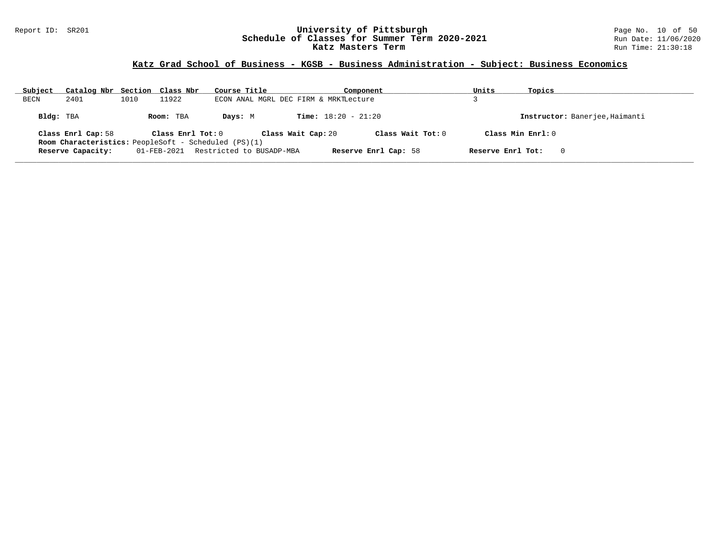#### Report ID: SR201 **University of Pittsburgh** Page No. 10 of 50 **Schedule of Classes for Summer Term 2020-2021** Run Date: 11/06/2020 **Katz Masters Term Run Time: 21:30:18** Run Time: 21:30:18

# **Katz Grad School of Business - KGSB - Business Administration - Subject: Business Economics**

| Subject   | Catalog Nbr Section Class Nbr                               |      |                   | Course Title             |                                       | Component                    |                      | Units             | Topics                         |
|-----------|-------------------------------------------------------------|------|-------------------|--------------------------|---------------------------------------|------------------------------|----------------------|-------------------|--------------------------------|
| BECN      | 2401                                                        | 1010 | 11922             |                          | ECON ANAL MGRL DEC FIRM & MRKTLecture |                              |                      |                   |                                |
| Bldg: TBA |                                                             |      | Room: TBA         | Days: M                  |                                       | <b>Time:</b> $18:20 - 21:20$ |                      |                   | Instructor: Banerjee, Haimanti |
|           | Class Enrl Cap: 58                                          |      | Class Enrl Tot: 0 |                          | Class Wait Cap: 20                    |                              | Class Wait Tot: $0$  |                   | Class Min $Enrl: 0$            |
|           | <b>Room Characteristics:</b> PeopleSoft - Scheduled (PS)(1) |      |                   |                          |                                       |                              |                      |                   |                                |
|           | Reserve Capacity:                                           |      | 01-FEB-2021       | Restricted to BUSADP-MBA |                                       |                              | Reserve Enrl Cap: 58 | Reserve Enrl Tot: | $\Omega$                       |
|           |                                                             |      |                   |                          |                                       |                              |                      |                   |                                |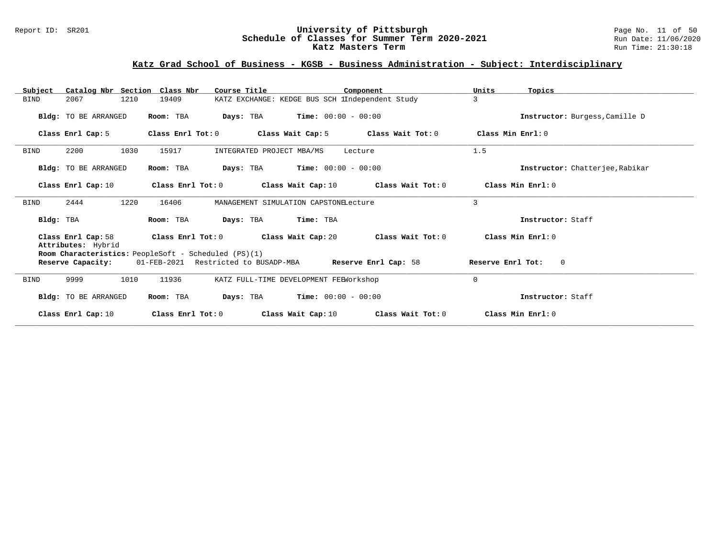### Report ID: SR201 **University of Pittsburgh** Page No. 11 of 50 **Schedule of Classes for Summer Term 2020-2021** Run Date: 11/06/2020 **Katz Masters Term Run Time: 21:30:18** Run Time: 21:30:18

### **Katz Grad School of Business - KGSB - Business Administration - Subject: Interdisciplinary**

| Catalog Nbr Section Class Nbr<br>Subject | Course Title                                         | Component                                       | Units<br>Topics                     |
|------------------------------------------|------------------------------------------------------|-------------------------------------------------|-------------------------------------|
| 1210<br>2067<br><b>BIND</b>              | 19409                                                | KATZ EXCHANGE: KEDGE BUS SCH lIndependent Study | 3                                   |
| Bldg: TO BE ARRANGED                     | Days: TBA<br>Room: TBA                               | $Time: 00:00 - 00:00$                           | Instructor: Burgess, Camille D      |
| Class Enrl Cap: 5                        | Class Enrl Tot: 0<br>Class Wait Cap: 5               | Class Wait Tot: 0                               | Class Min Enrl: 0                   |
| 2200<br>1030<br><b>BIND</b>              | 15917<br>INTEGRATED PROJECT MBA/MS                   | Lecture                                         | 1.5                                 |
| Bldg: TO BE ARRANGED                     | Room: TBA                                            | <b>Days:</b> TBA <b>Time:</b> $00:00 - 00:00$   | Instructor: Chatterjee, Rabikar     |
| Class Enrl Cap: 10                       | Class Enrl Tot: 0                                    | Class Wait Cap: $10$ Class Wait Tot: $0$        | Class Min Enrl: 0                   |
| 2444<br>1220<br><b>BIND</b>              | 16406                                                | MANAGEMENT SIMULATION CAPSTONELecture           | 3                                   |
| Bldg: TBA                                | Room: TBA<br>Days: TBA                               | Time: TBA                                       | Instructor: Staff                   |
| Class Enrl Cap: 58<br>Attributes: Hybrid | Class Wait Cap: 20<br>Class Enrl Tot: 0              | Class Wait Tot: 0                               | Class Min Enrl: 0                   |
|                                          | Room Characteristics: PeopleSoft - Scheduled (PS)(1) |                                                 |                                     |
| Reserve Capacity:                        | 01-FEB-2021 Restricted to BUSADP-MBA                 | Reserve Enrl Cap: 58                            | $\overline{0}$<br>Reserve Enrl Tot: |
| 9999<br>1010<br><b>BIND</b>              | 11936                                                | KATZ FULL-TIME DEVELOPMENT FEEWorkshop          | $\Omega$                            |
| <b>Bldg:</b> TO BE ARRANGED              | Room: TBA                                            | <b>Days:</b> TBA <b>Time:</b> $00:00 - 00:00$   | Instructor: Staff                   |
| Class Enrl Cap: 10                       | Class Wait Cap: 10<br>Class Enrl Tot: 0              | Class Wait Tot: 0                               | Class Min Enrl: 0                   |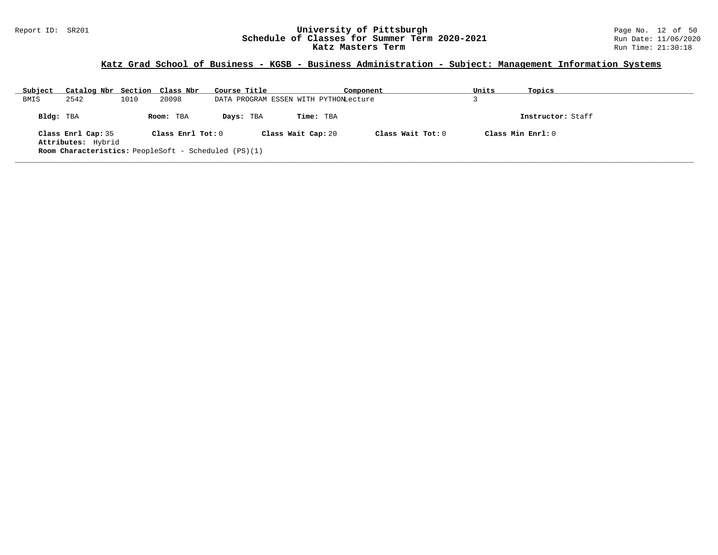### Report ID: SR201 **University of Pittsburgh** Page No. 12 of 50 **Schedule of Classes for Summer Term 2020-2021** Run Date: 11/06/2020 **Katz Masters Term Run Time: 21:30:18** Run Time: 21:30:18

# **Katz Grad School of Business - KGSB - Business Administration - Subject: Management Information Systems**

| Subject   | Catalog Nbr Section Class Nbr                        |      |                   | Course Title |                    | Component                             |                     | Units               | Topics            |
|-----------|------------------------------------------------------|------|-------------------|--------------|--------------------|---------------------------------------|---------------------|---------------------|-------------------|
| BMIS      | 2542                                                 | 1010 | 20098             |              |                    | DATA PROGRAM ESSEN WITH PYTHONLecture |                     |                     |                   |
| Bldg: TBA |                                                      |      | Room: TBA         | Days: TBA    |                    | Time: TBA                             |                     |                     | Instructor: Staff |
|           | Class Enrl Cap: 35                                   |      | Class Enrl Tot: 0 |              | Class Wait Cap: 20 |                                       | Class Wait Tot: $0$ | Class Min $Enrl: 0$ |                   |
|           | Attributes: Hybrid                                   |      |                   |              |                    |                                       |                     |                     |                   |
|           | Room Characteristics: PeopleSoft - Scheduled (PS)(1) |      |                   |              |                    |                                       |                     |                     |                   |
|           |                                                      |      |                   |              |                    |                                       |                     |                     |                   |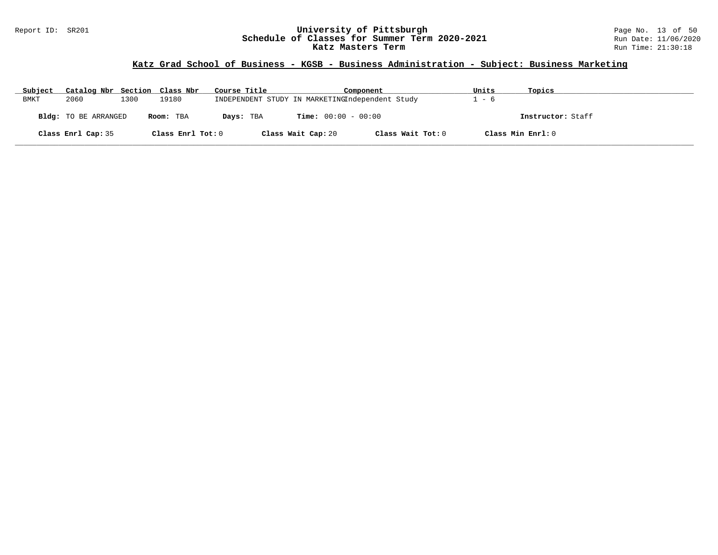### Report ID: SR201 **University of Pittsburgh** Page No. 13 of 50 **Schedule of Classes for Summer Term 2020-2021** Run Date: 11/06/2020 **Katz Masters Term Run Time: 21:30:18** Run Time: 21:30:18

# **Katz Grad School of Business - KGSB - Business Administration - Subject: Business Marketing**

| Subject | Catalog Nbr Section Class Nbr |      |                   | Course Title | Component                                       |                   | Units | Topics            |
|---------|-------------------------------|------|-------------------|--------------|-------------------------------------------------|-------------------|-------|-------------------|
| BMKT    | 2060                          | 1300 | 19180             |              | INDEPENDENT STUDY IN MARKETINGIndependent Study |                   | $-6$  |                   |
|         | <b>Bldg:</b> TO BE ARRANGED   |      | Room: TBA         | Days: TBA    | <b>Time:</b> $00:00 - 00:00$                    |                   |       | Instructor: Staff |
|         | Class Enrl Cap: 35            |      | Class Enrl Tot: 0 |              | Class Wait Cap: 20                              | Class Wait Tot: 0 |       | Class Min Enrl: 0 |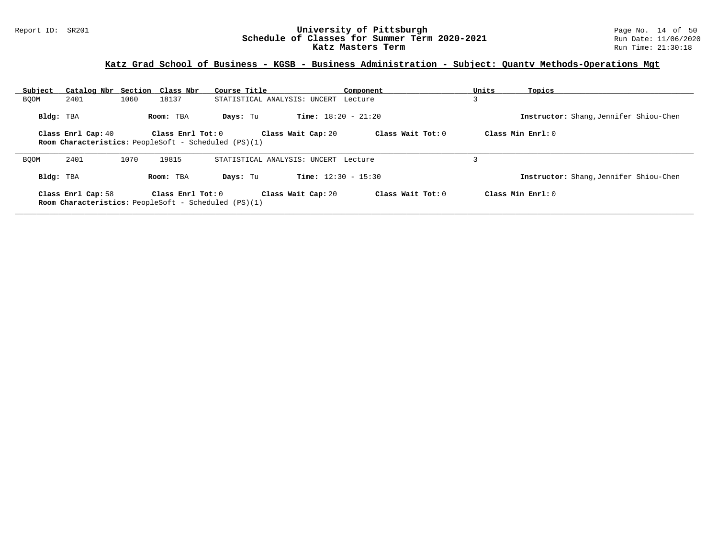#### Report ID: SR201 **University of Pittsburgh** Page No. 14 of 50 **Schedule of Classes for Summer Term 2020-2021** Run Date: 11/06/2020 **Katz Masters Term Run Time: 21:30:18** Run Time: 21:30:18

# **Katz Grad School of Business - KGSB - Business Administration - Subject: Quantv Methods-Operations Mgt**

| Subject     | Catalog Nbr Section Class Nbr |      |                                                             | Course Title                         |                              | Component         | Units | Topics                                 |
|-------------|-------------------------------|------|-------------------------------------------------------------|--------------------------------------|------------------------------|-------------------|-------|----------------------------------------|
| BQOM        | 2401                          | 1060 | 18137                                                       | STATISTICAL ANALYSIS: UNCERT         |                              | Lecture           |       |                                        |
| Bldg: TBA   |                               |      | Room: TBA                                                   | Days: Tu                             | <b>Time:</b> $18:20 - 21:20$ |                   |       | Instructor: Shang, Jennifer Shiou-Chen |
|             | Class Enrl Cap: 40            |      | $Class$ $Enr1$ $Tot: 0$                                     |                                      | Class Wait Cap: 20           | Class Wait Tot: 0 |       | Class Min Enrl: 0                      |
|             |                               |      | <b>Room Characteristics:</b> PeopleSoft - Scheduled (PS)(1) |                                      |                              |                   |       |                                        |
| <b>BOOM</b> | 2401                          | 1070 | 19815                                                       | STATISTICAL ANALYSIS: UNCERT Lecture |                              |                   |       |                                        |
| Bldg: TBA   |                               |      | Room: TBA                                                   | Days: Tu                             | <b>Time:</b> $12:30 - 15:30$ |                   |       | Instructor: Shang, Jennifer Shiou-Chen |
|             | Class Enrl Cap: 58            |      | Class $Enrl$ Tot: $0$                                       |                                      | Class Wait Cap: 20           | Class Wait Tot: 0 |       | Class Min Enrl: 0                      |
|             |                               |      | <b>Room Characteristics:</b> PeopleSoft - Scheduled (PS)(1) |                                      |                              |                   |       |                                        |
|             |                               |      |                                                             |                                      |                              |                   |       |                                        |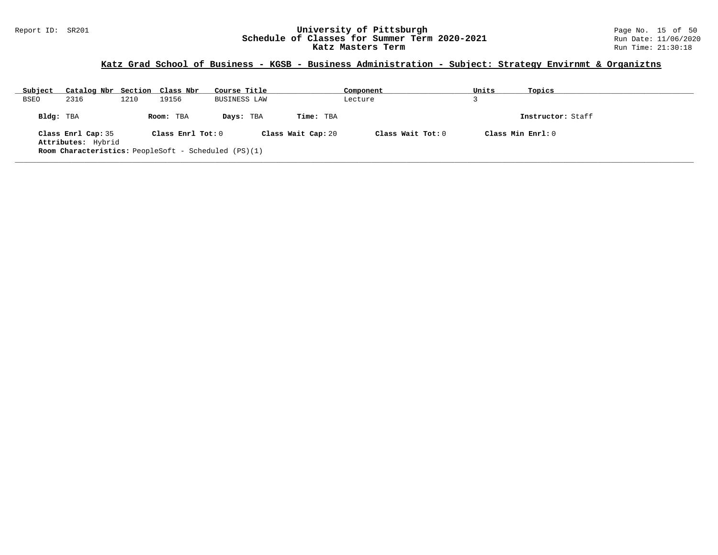### Report ID: SR201 **University of Pittsburgh** Page No. 15 of 50 **Schedule of Classes for Summer Term 2020-2021** Run Date: 11/06/2020 **Katz Masters Term Run Time: 21:30:18** Run Time: 21:30:18

# **Katz Grad School of Business - KGSB - Business Administration - Subject: Strategy Envirnmt & Organiztns**

| Subject     | Catalog Nbr Section Class Nbr                               |      |                   | Course Title |                    | Component |                     | Units | Topics            |
|-------------|-------------------------------------------------------------|------|-------------------|--------------|--------------------|-----------|---------------------|-------|-------------------|
| <b>BSEO</b> | 2316                                                        | 1210 | 19156             | BUSINESS LAW |                    | Lecture   |                     |       |                   |
| Bldg: TBA   |                                                             |      | Room: TBA         | Days: TBA    | Time: TBA          |           |                     |       | Instructor: Staff |
|             | Class Enrl Cap: 35<br>Attributes: Hybrid                    |      | Class Enrl Tot: 0 |              | Class Wait Cap: 20 |           | Class Wait Tot: $0$ |       | Class Min Enrl: 0 |
|             | <b>Room Characteristics:</b> PeopleSoft - Scheduled (PS)(1) |      |                   |              |                    |           |                     |       |                   |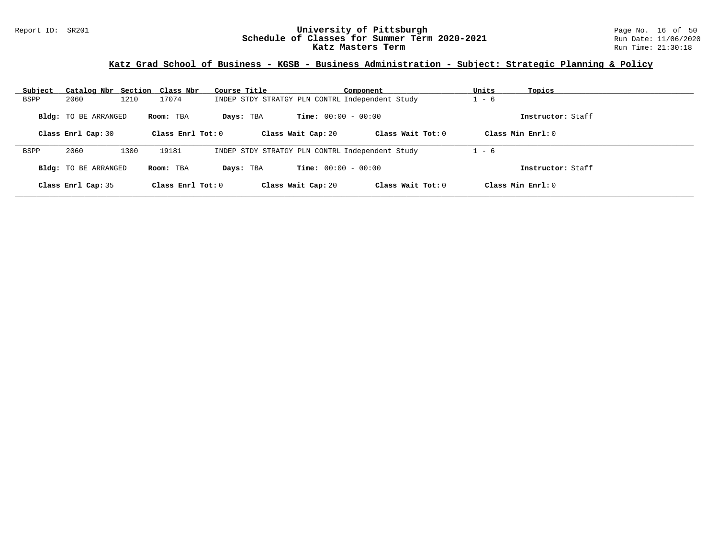### Report ID: SR201 **University of Pittsburgh** Page No. 16 of 50 **Schedule of Classes for Summer Term 2020-2021** Run Date: 11/06/2020 **Katz Masters Term Run Time: 21:30:18** Run Time: 21:30:18

# **Katz Grad School of Business - KGSB - Business Administration - Subject: Strategic Planning & Policy**

| Subject     | Catalog Nbr Section Class Nbr |      |                     | Course Title                                    |                              | Component           | Units   | Topics             |
|-------------|-------------------------------|------|---------------------|-------------------------------------------------|------------------------------|---------------------|---------|--------------------|
| BSPP        | 2060                          | 1210 | 17074               | INDEP STDY STRATGY PLN CONTRL Independent Study |                              |                     | $-6$    |                    |
|             | <b>Bldg:</b> TO BE ARRANGED   |      | Room: TBA           | Days: TBA                                       | <b>Time:</b> $00:00 - 00:00$ |                     |         | Instructor: Staff  |
|             | Class Enrl Cap: 30            |      | Class Enrl Tot: $0$ |                                                 | Class Wait Cap: 20           | Class Wait Tot: $0$ |         | Class Min $Enr1:0$ |
| <b>BSPP</b> | 2060                          | 1300 | 19181               | INDEP STDY STRATGY PLN CONTRL Independent Study |                              |                     | $1 - 6$ |                    |
|             | <b>Bldg:</b> TO BE ARRANGED   |      | Room: TBA           | Days: TBA                                       | <b>Time:</b> $00:00 - 00:00$ |                     |         | Instructor: Staff  |
|             | Class Enrl Cap: 35            |      | Class Enrl Tot: $0$ |                                                 | Class Wait Cap: 20           | Class Wait Tot: $0$ |         | Class Min Enrl: 0  |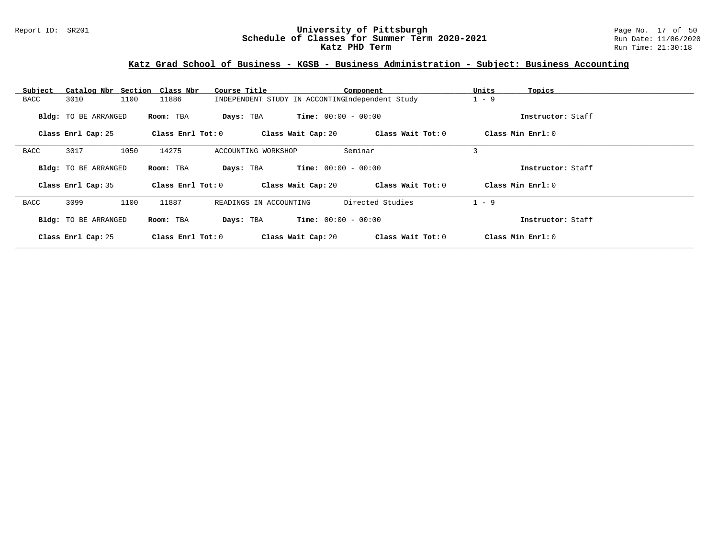### Report ID: SR201 **University of Pittsburgh** Page No. 17 of 50 **Schedule of Classes for Summer Term 2020-2021** Run Date: 11/06/2020 **Katz PHD Term Run Time: 21:30:18**

# **Katz Grad School of Business - KGSB - Business Administration - Subject: Business Accounting**

| Subject | Catalog Nbr Section Class Nbr |                         | Course Title                                    |                              | Component         | Units             | Topics            |
|---------|-------------------------------|-------------------------|-------------------------------------------------|------------------------------|-------------------|-------------------|-------------------|
| BACC    | 3010<br>1100                  | 11886                   | INDEPENDENT STUDY IN ACCONTINGIndependent Study |                              |                   | $1 - 9$           |                   |
|         | <b>Bldg:</b> TO BE ARRANGED   | Room: TBA               | Days: TBA                                       | <b>Time:</b> $00:00 - 00:00$ |                   |                   | Instructor: Staff |
|         | Class Enrl Cap: 25            | $Class$ $Enr1$ $Tot: 0$ |                                                 | Class Wait Cap: 20           | Class Wait Tot: 0 | Class Min Enrl: 0 |                   |
| BACC    | 3017<br>1050                  | 14275                   | ACCOUNTING WORKSHOP                             | Seminar                      |                   | 3                 |                   |
|         | Bldg: TO BE ARRANGED          | Room: TBA               | Days: TBA                                       | <b>Time:</b> $00:00 - 00:00$ |                   |                   | Instructor: Staff |
|         | Class Enrl Cap: 35            | Class Enrl Tot: 0       |                                                 | Class Wait Cap: 20           | Class Wait Tot: 0 | Class Min Enrl: 0 |                   |
| BACC    | 3099<br>1100                  | 11887                   | READINGS IN ACCOUNTING                          |                              | Directed Studies  | $1 - 9$           |                   |
|         | Bldg: TO BE ARRANGED          | Room: TBA               | Days: TBA                                       | <b>Time:</b> $00:00 - 00:00$ |                   |                   | Instructor: Staff |
|         | Class Enrl Cap: 25            | $Class$ $Enr1$ $Tot: 0$ |                                                 | Class Wait Cap: 20           | Class Wait Tot: 0 | Class Min Enrl: 0 |                   |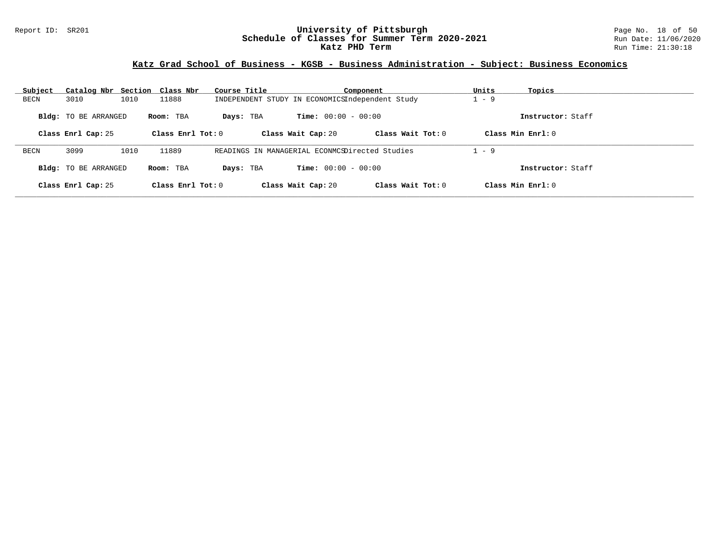### Report ID: SR201 **University of Pittsburgh** Page No. 18 of 50 **Schedule of Classes for Summer Term 2020-2021** Run Date: 11/06/2020 **Katz PHD Term Run Time: 21:30:18**

# **Katz Grad School of Business - KGSB - Business Administration - Subject: Business Economics**

| Subject | Catalog Nbr Section Class Nbr |      |                     | Course Title                                    |                              | Component           | Units   | Topics             |
|---------|-------------------------------|------|---------------------|-------------------------------------------------|------------------------------|---------------------|---------|--------------------|
| BECN    | 3010                          | 1010 | 11888               | INDEPENDENT STUDY IN ECONOMICSIndependent Study |                              |                     | $-9$    |                    |
|         | <b>Bldg:</b> TO BE ARRANGED   |      | Room: TBA           | Days: TBA                                       | <b>Time:</b> $00:00 - 00:00$ |                     |         | Instructor: Staff  |
|         | Class Enrl Cap: 25            |      | Class Enrl Tot: $0$ |                                                 | Class Wait Cap: 20           | Class Wait Tot: $0$ |         | Class Min $Enr1:0$ |
| BECN    | 3099                          | 1010 | 11889               | READINGS IN MANAGERIAL ECONMCSDirected Studies  |                              |                     | $1 - 9$ |                    |
|         | <b>Bldg:</b> TO BE ARRANGED   |      | Room: TBA           | Days: TBA                                       | <b>Time:</b> $00:00 - 00:00$ |                     |         | Instructor: Staff  |
|         | Class Enrl Cap: 25            |      | Class Enrl Tot: $0$ |                                                 | Class Wait Cap: 20           | Class Wait Tot: $0$ |         | Class Min Enrl: 0  |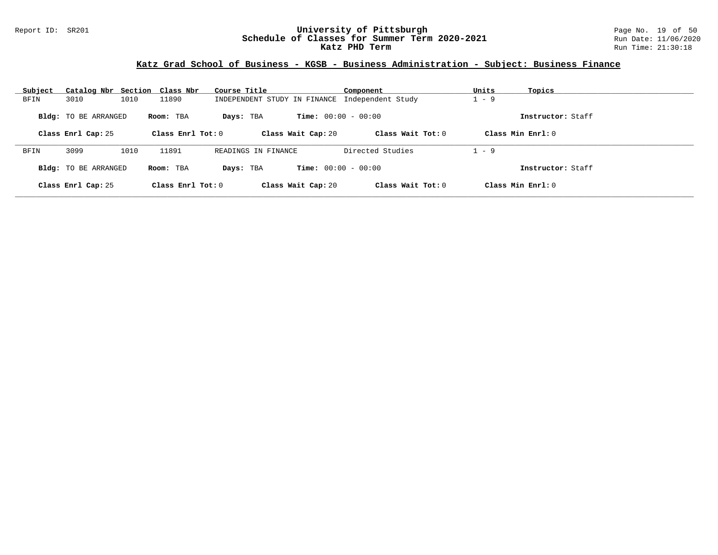### Report ID: SR201 **University of Pittsburgh** Page No. 19 of 50 **Schedule of Classes for Summer Term 2020-2021** Run Date: 11/06/2020 **Katz PHD Term Run Time: 21:30:18**

# **Katz Grad School of Business - KGSB - Business Administration - Subject: Business Finance**

| Subject | Catalog Nbr Section Class Nbr |      |                     | Course Title                 |                              | Component           | Units   | Topics             |
|---------|-------------------------------|------|---------------------|------------------------------|------------------------------|---------------------|---------|--------------------|
| BFIN    | 3010                          | 1010 | 11890               | INDEPENDENT STUDY IN FINANCE |                              | Independent Study   | $1 - 9$ |                    |
|         | <b>Bldg:</b> TO BE ARRANGED   |      | Room: TBA           | Days: TBA                    | <b>Time:</b> $00:00 - 00:00$ |                     |         | Instructor: Staff  |
|         | Class Enrl Cap: 25            |      | Class Enrl Tot: $0$ |                              | Class Wait Cap: 20           | Class Wait Tot: $0$ |         | Class Min $Err1:0$ |
|         |                               |      |                     |                              |                              |                     |         |                    |
| BFIN    | 3099                          | 1010 | 11891               | READINGS IN FINANCE          |                              | Directed Studies    | $1 - 9$ |                    |
|         | Bldg: TO BE ARRANGED          |      | Room: TBA           | Davs: TBA                    | <b>Time:</b> $00:00 - 00:00$ |                     |         | Instructor: Staff  |
|         | Class Enrl Cap: 25            |      | Class $Enr1 Tot: 0$ |                              | Class Wait Cap: 20           | Class Wait Tot: 0   |         | Class Min Enrl: 0  |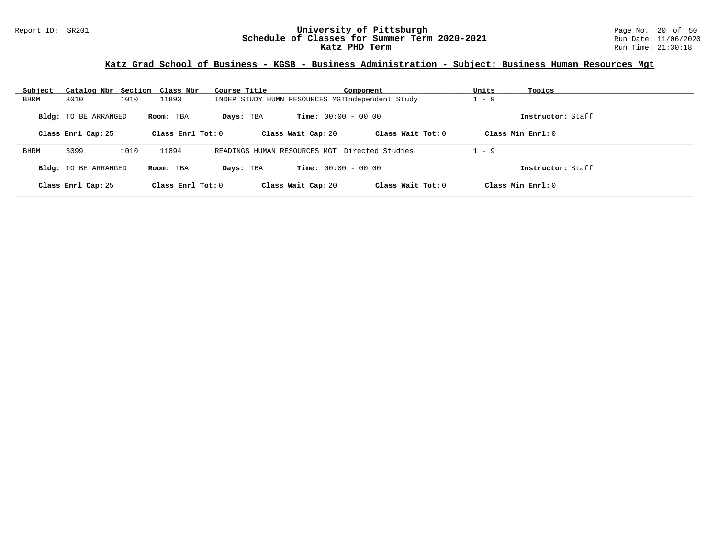### Report ID: SR201 **University of Pittsburgh** Page No. 20 of 50 **Schedule of Classes for Summer Term 2020-2021** Run Date: 11/06/2020 **Katz PHD Term** Run Time: 21:30:18

# **Katz Grad School of Business - KGSB - Business Administration - Subject: Business Human Resources Mgt**

| Subject     | Catalog Nbr Section Class Nbr |      |                   | Course Title |                                                 | Component           | Units   | Topics              |
|-------------|-------------------------------|------|-------------------|--------------|-------------------------------------------------|---------------------|---------|---------------------|
| BHRM        | 3010                          | 1010 | 11893             |              | INDEP STUDY HUMN RESOURCES MGTIndependent Study |                     | $1 - 9$ |                     |
|             | <b>Bldg:</b> TO BE ARRANGED   |      | Room: TBA         | Days: TBA    | <b>Time:</b> $00:00 - 00:00$                    |                     |         | Instructor: Staff   |
|             | Class Enrl Cap: 25            |      | Class Enrl Tot: 0 |              | Class Wait Cap: 20                              | Class Wait Tot: 0   |         | Class Min Enrl: 0   |
| <b>BHRM</b> | 3099                          | 1010 | 11894             |              | READINGS HUMAN RESOURCES MGT Directed Studies   |                     | $1 - 9$ |                     |
|             | <b>Bldg:</b> TO BE ARRANGED   |      | Room: TBA         | Days: TBA    | <b>Time:</b> $00:00 - 00:00$                    |                     |         | Instructor: Staff   |
|             | Class Enrl Cap: 25            |      | Class Enrl Tot: 0 |              | Class Wait Cap: 20                              | Class Wait Tot: $0$ |         | Class Min $Enrl: 0$ |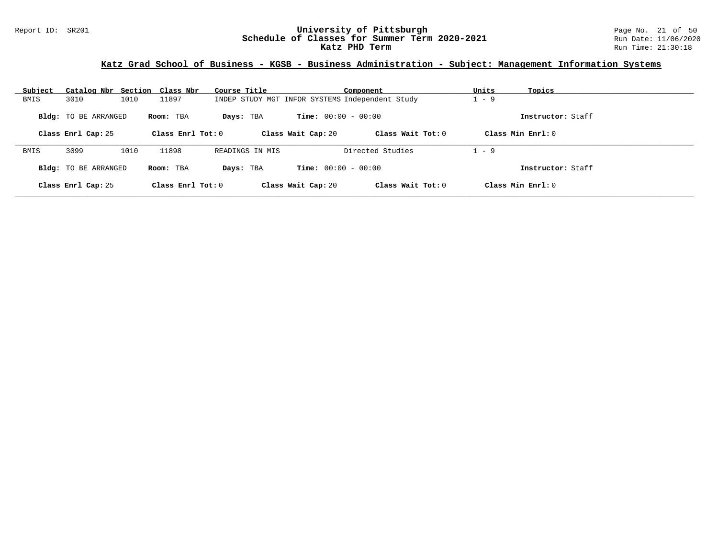### Report ID: SR201 **University of Pittsburgh** Page No. 21 of 50 **Schedule of Classes for Summer Term 2020-2021** Run Date: 11/06/2020 **Katz PHD Term** Run Time: 21:30:18

### **Katz Grad School of Business - KGSB - Business Administration - Subject: Management Information Systems**

| Subject | Catalog Nbr Section Class Nbr |      |                     | Course Title    |                                                 | Component           | Units   | Topics              |
|---------|-------------------------------|------|---------------------|-----------------|-------------------------------------------------|---------------------|---------|---------------------|
| BMIS    | 3010                          | 1010 | 11897               |                 | INDEP STUDY MGT INFOR SYSTEMS Independent Study |                     | $-9$    |                     |
|         | <b>Bldg:</b> TO BE ARRANGED   |      | Room: TBA           | Days: TBA       | <b>Time:</b> $00:00 - 00:00$                    |                     |         | Instructor: Staff   |
|         | Class Enrl Cap: 25            |      | Class $Enr1 Tot: 0$ |                 | Class Wait Cap: 20                              | Class Wait Tot: 0   |         | Class Min $Enrl: 0$ |
| BMIS    | 3099                          | 1010 | 11898               | READINGS IN MIS |                                                 | Directed Studies    | $1 - 9$ |                     |
|         | <b>Bldg:</b> TO BE ARRANGED   |      | Room: TBA           | Days: TBA       | <b>Time:</b> $00:00 - 00:00$                    |                     |         | Instructor: Staff   |
|         | Class Enrl Cap: 25            |      | Class $Enr1 Tot: 0$ |                 | Class Wait Cap: 20                              | Class Wait Tot: $0$ |         | Class Min Enrl: $0$ |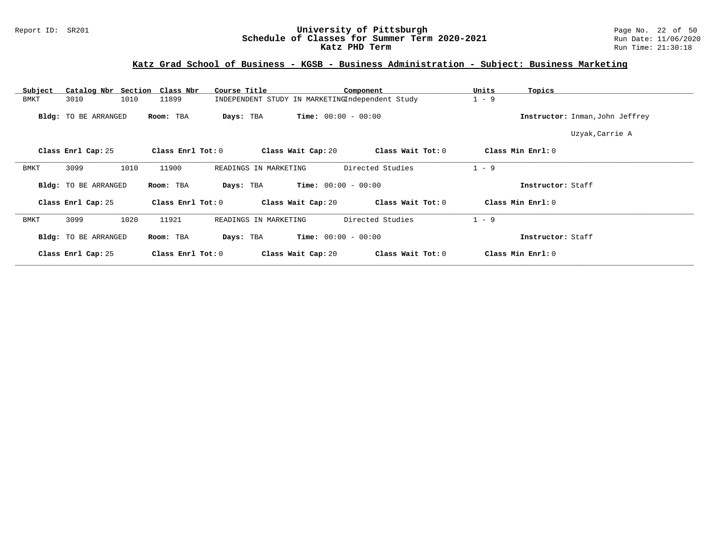### Report ID: SR201 **University of Pittsburgh** Page No. 22 of 50 **Schedule of Classes for Summer Term 2020-2021** Run Date: 11/06/2020 **Katz PHD Term Run Time: 21:30:18**

# **Katz Grad School of Business - KGSB - Business Administration - Subject: Business Marketing**

| Catalog Nbr Section Class Nbr<br>Subject | Course Title                   | Component                                       | Units<br>Topics                 |
|------------------------------------------|--------------------------------|-------------------------------------------------|---------------------------------|
| 3010<br>1010<br><b>BMKT</b>              | 11899                          | INDEPENDENT STUDY IN MARKETINGIndependent Study | $1 - 9$                         |
| <b>Bldg:</b> TO BE ARRANGED              | Room: TBA<br>Days: TBA         | <b>Time:</b> $00:00 - 00:00$                    | Instructor: Inman, John Jeffrey |
|                                          |                                |                                                 | Uzyak, Carrie A                 |
| Class Enrl Cap: 25                       | Class Enrl Tot: 0              | Class Wait Cap: 20<br>Class Wait Tot: 0         | Class Min Enrl: 0               |
| 3099<br>1010<br>BMKT                     | 11900<br>READINGS IN MARKETING | Directed Studies                                | $1 - 9$                         |
| <b>Bldg:</b> TO BE ARRANGED              | Room: TBA<br>Days: TBA         | <b>Time:</b> $00:00 - 00:00$                    | Instructor: Staff               |
| Class Enrl Cap: 25                       | Class Enrl Tot: 0              | Class Wait Cap: 20<br>Class Wait Tot: 0         | Class Min Enrl: 0               |
| 1020<br>3099<br>BMKT                     | 11921<br>READINGS IN MARKETING | Directed Studies                                | $1 - 9$                         |
| <b>Bldg:</b> TO BE ARRANGED              | Room: TBA<br>Days: TBA         | <b>Time:</b> $00:00 - 00:00$                    | Instructor: Staff               |
| Class Enrl Cap: 25                       | Class Enrl Tot: 0              | Class Wait Tot: 0<br>Class Wait Cap: 20         | Class Min Enrl: 0               |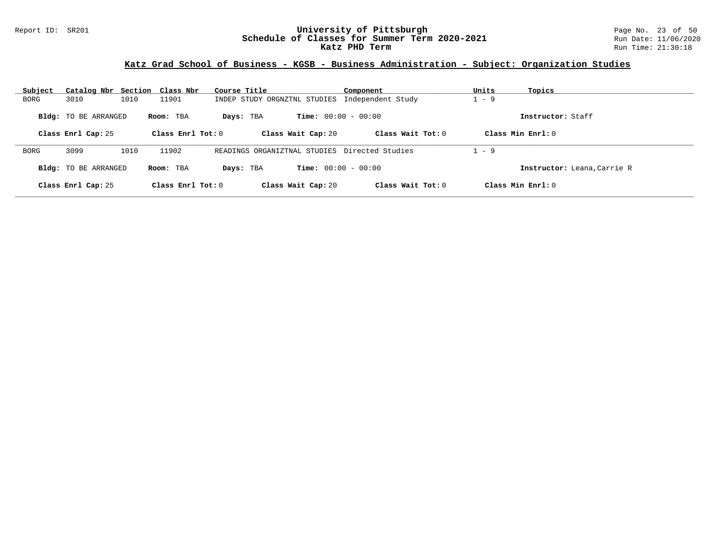### Report ID: SR201 **University of Pittsburgh** Page No. 23 of 50 **Schedule of Classes for Summer Term 2020-2021** Run Date: 11/06/2020 **Katz PHD Term** Run Time: 21:30:18

# **Katz Grad School of Business - KGSB - Business Administration - Subject: Organization Studies**

| Subject | Catalog Nbr Section Class Nbr |      |                     | Course Title                                  |                              | Component           | Units              | Topics                      |
|---------|-------------------------------|------|---------------------|-----------------------------------------------|------------------------------|---------------------|--------------------|-----------------------------|
| BORG    | 3010                          | 1010 | 11901               | INDEP STUDY ORGNZTNL STUDIES                  |                              | Independent Study   | $-9$               |                             |
|         | <b>Bldg:</b> TO BE ARRANGED   |      | Room: TBA           | Days: TBA                                     | <b>Time:</b> $00:00 - 00:00$ |                     |                    | Instructor: Staff           |
|         | Class Enrl Cap: 25            |      | Class Enrl Tot: $0$ |                                               | Class Wait Cap: 20           | Class Wait Tot: $0$ | Class Min $Enr1:0$ |                             |
| BORG    | 3099                          | 1010 | 11902               | READINGS ORGANIZTNAL STUDIES Directed Studies |                              |                     | $1 - 9$            |                             |
|         | <b>Bldg:</b> TO BE ARRANGED   |      | Room: TBA           | Days: TBA                                     | <b>Time:</b> $00:00 - 00:00$ |                     |                    | Instructor: Leana, Carrie R |
|         | Class Enrl Cap: 25            |      | Class Enrl Tot: $0$ |                                               | Class Wait Cap: 20           | Class Wait Tot: $0$ | Class Min Enrl: 0  |                             |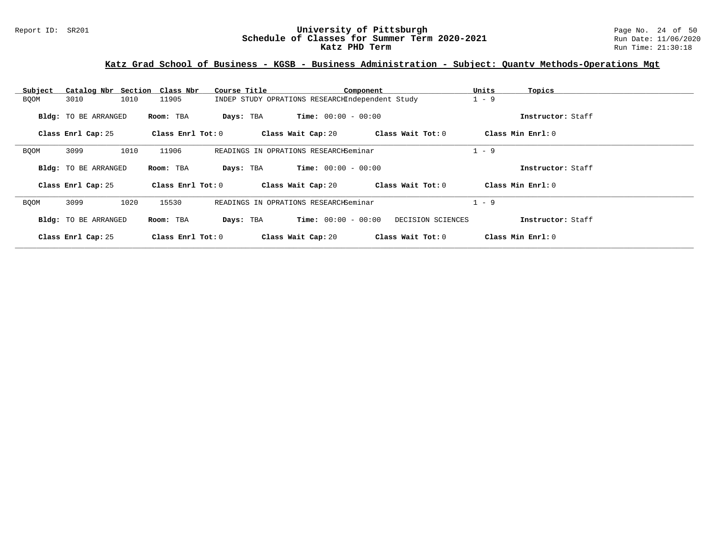### Report ID: SR201 **University of Pittsburgh** Page No. 24 of 50 **Schedule of Classes for Summer Term 2020-2021** Run Date: 11/06/2020 **Katz PHD Term** Run Time: 21:30:18

# **Katz Grad School of Business - KGSB - Business Administration - Subject: Quantv Methods-Operations Mgt**

| Subject     | Catalog Nbr Section Class Nbr |                   | Course Title | Component                                       |                   | Units<br>Topics   |  |
|-------------|-------------------------------|-------------------|--------------|-------------------------------------------------|-------------------|-------------------|--|
| <b>BQOM</b> | 1010<br>3010                  | 11905             |              | INDEP STUDY OPRATIONS RESEARCHIndependent Study |                   | $1 - 9$           |  |
|             | Bldg: TO BE ARRANGED          | Room: TBA         | Days: TBA    | <b>Time:</b> $00:00 - 00:00$                    |                   | Instructor: Staff |  |
|             | Class Enrl Cap: 25            | Class Enrl Tot: 0 |              | Class Wait Cap: 20                              | Class Wait Tot: 0 | Class Min Enrl: 0 |  |
| <b>BQOM</b> | 1010<br>3099                  | 11906             |              | READINGS IN OPRATIONS RESEARCHSeminar           |                   | $1 - 9$           |  |
|             | Bldg: TO BE ARRANGED          | Room: TBA         | Days: TBA    | <b>Time:</b> $00:00 - 00:00$                    |                   | Instructor: Staff |  |
|             | Class Enrl Cap: 25            | Class Enrl Tot: 0 |              | Class Wait Cap: 20                              | Class Wait Tot: 0 | Class Min Enrl: 0 |  |
| BQOM        | 3099<br>1020                  | 15530             |              | READINGS IN OPRATIONS RESEARCHSeminar           |                   | $1 - 9$           |  |
|             | Bldg: TO BE ARRANGED          | Room: TBA         | Days: TBA    | <b>Time:</b> $00:00 - 00:00$                    | DECISION SCIENCES | Instructor: Staff |  |
|             | Class Enrl Cap: 25            | Class Enrl Tot: 0 |              | Class Wait Cap: 20                              | Class Wait Tot: 0 | Class Min Enrl: 0 |  |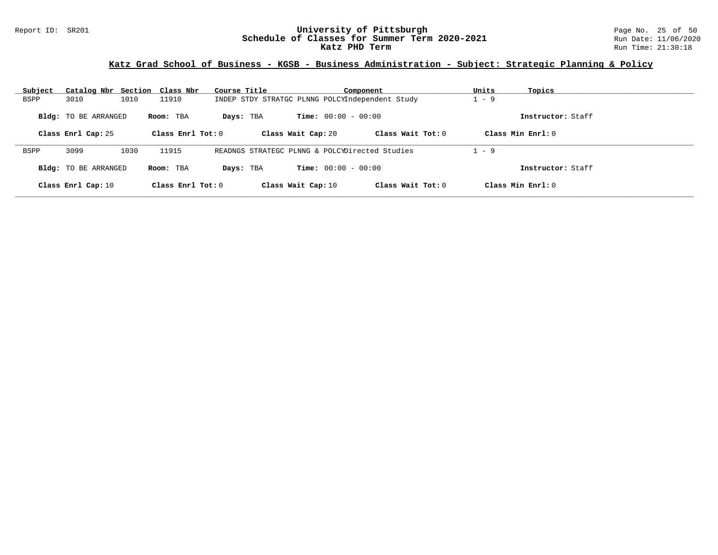### Report ID: SR201 **University of Pittsburgh** Page No. 25 of 50 **Schedule of Classes for Summer Term 2020-2021** Run Date: 11/06/2020 **Katz PHD Term** Run Time: 21:30:18

# **Katz Grad School of Business - KGSB - Business Administration - Subject: Strategic Planning & Policy**

| Subject     | Catalog Nbr Section Class Nbr |      |                     | Course Title |                                                 | Component           | Units   | Topics              |
|-------------|-------------------------------|------|---------------------|--------------|-------------------------------------------------|---------------------|---------|---------------------|
| <b>BSPP</b> | 3010                          | 1010 | 11910               |              | INDEP STDY STRATGC PLNNG POLCYIndependent Study |                     | 1 - 9   |                     |
|             | <b>Bldg:</b> TO BE ARRANGED   |      | Room: TBA           | Days: TBA    | <b>Time:</b> $00:00 - 00:00$                    |                     |         | Instructor: Staff   |
|             | Class Enrl Cap: 25            |      | Class Enrl Tot: $0$ |              | Class Wait Cap: 20                              | Class Wait $Tot: 0$ |         | Class Min $Enrl: 0$ |
| <b>BSPP</b> | 3099                          | 1030 | 11915               |              | READNGS STRATEGC PLNNG & POLCYDirected Studies  |                     | $1 - 9$ |                     |
|             | Bldg: TO BE ARRANGED          |      | Room: TBA           | Days: TBA    | <b>Time:</b> $00:00 - 00:00$                    |                     |         | Instructor: Staff   |
|             | Class Enrl Cap: 10            |      | Class Enrl Tot: $0$ |              | Class Wait Cap: 10                              | Class Wait Tot: $0$ |         | Class Min Enrl: 0   |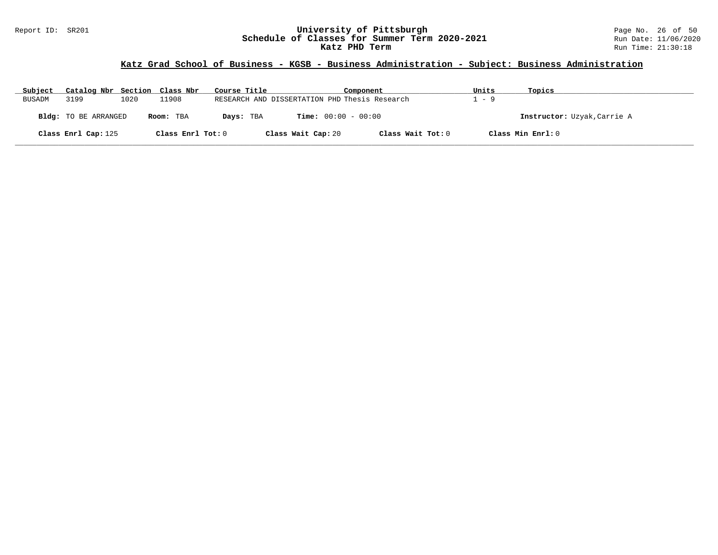### Report ID: SR201 **University of Pittsburgh** Page No. 26 of 50 **Schedule of Classes for Summer Term 2020-2021** Run Date: 11/06/2020 **Katz PHD Term** Run Time: 21:30:18

### **Katz Grad School of Business - KGSB - Business Administration - Subject: Business Administration**

| Subject       | Catalog Nbr Section Class Nbr |      |                   | Course Title |                                               | Component         | Units | Topics                      |
|---------------|-------------------------------|------|-------------------|--------------|-----------------------------------------------|-------------------|-------|-----------------------------|
| <b>BUSADM</b> | 3199                          | 1020 | 11908             |              | RESEARCH AND DISSERTATION PHD Thesis Research |                   | 1 – 9 |                             |
|               | Bldg: TO BE ARRANGED          |      | Room: TBA         | Days: TBA    | <b>Time:</b> $00:00 - 00:00$                  |                   |       | Instructor: Uzyak, Carrie A |
|               | Class Enrl Cap: 125           |      | Class Enrl Tot: 0 |              | Class Wait Cap: 20                            | Class Wait Tot: 0 |       | Class Min Enrl: 0           |

**\_\_\_\_\_\_\_\_\_\_\_\_\_\_\_\_\_\_\_\_\_\_\_\_\_\_\_\_\_\_\_\_\_\_\_\_\_\_\_\_\_\_\_\_\_\_\_\_\_\_\_\_\_\_\_\_\_\_\_\_\_\_\_\_\_\_\_\_\_\_\_\_\_\_\_\_\_\_\_\_\_\_\_\_\_\_\_\_\_\_\_\_\_\_\_\_\_\_\_\_\_\_\_\_\_\_\_\_\_\_\_\_\_\_\_\_\_\_\_\_\_\_\_\_\_\_\_\_\_\_\_\_\_\_\_\_\_\_\_\_\_\_\_\_\_\_\_\_\_\_\_\_\_\_\_\_**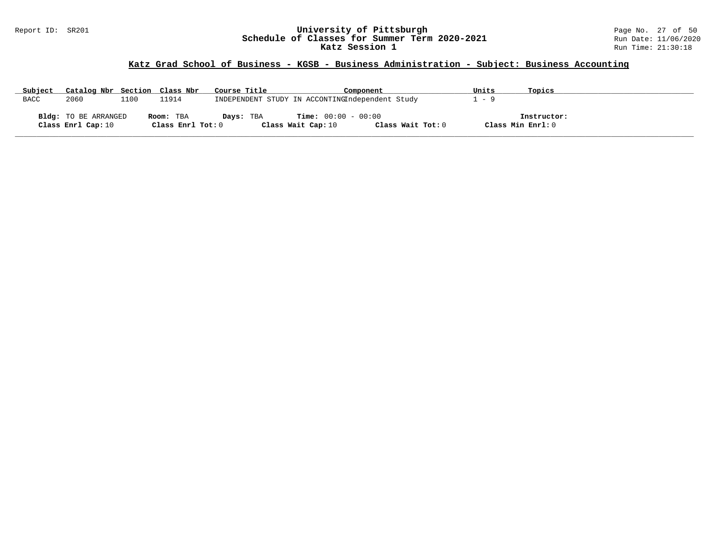### Report ID: SR201 **University of Pittsburgh** Page No. 27 of 50 **Schedule of Classes for Summer Term 2020-2021** Run Date: 11/06/2020 **Katz Session 1** Run Time: 21:30:18

# **Katz Grad School of Business - KGSB - Business Administration - Subject: Business Accounting**

| Subject     | Catalog Nbr Section Class Nbr |      |                   | Course Title | Component                                       |                   | Units             | Topics      |
|-------------|-------------------------------|------|-------------------|--------------|-------------------------------------------------|-------------------|-------------------|-------------|
| <b>BACC</b> | 2060                          | ⊥100 | 11914             |              | INDEPENDENT STUDY IN ACCONTINGIndependent Study |                   | - 9               |             |
|             |                               |      |                   |              |                                                 |                   |                   |             |
|             | Bldg: TO BE ARRANGED          |      | Room: TBA         | Days: TBA    | <b>Time:</b> $00:00 - 00:00$                    |                   |                   | Instructor: |
|             | Class Enrl Cap: 10            |      | Class Enrl Tot: 0 |              | Class Wait Cap: 10                              | Class Wait Tot: 0 | Class Min Enrl: 0 |             |

**\_\_\_\_\_\_\_\_\_\_\_\_\_\_\_\_\_\_\_\_\_\_\_\_\_\_\_\_\_\_\_\_\_\_\_\_\_\_\_\_\_\_\_\_\_\_\_\_\_\_\_\_\_\_\_\_\_\_\_\_\_\_\_\_\_\_\_\_\_\_\_\_\_\_\_\_\_\_\_\_\_\_\_\_\_\_\_\_\_\_\_\_\_\_\_\_\_\_\_\_\_\_\_\_\_\_\_\_\_\_\_\_\_\_\_\_\_\_\_\_\_\_\_\_\_\_\_\_\_\_\_\_\_\_\_\_\_\_\_\_\_\_\_\_\_\_\_\_\_\_\_\_\_\_\_\_**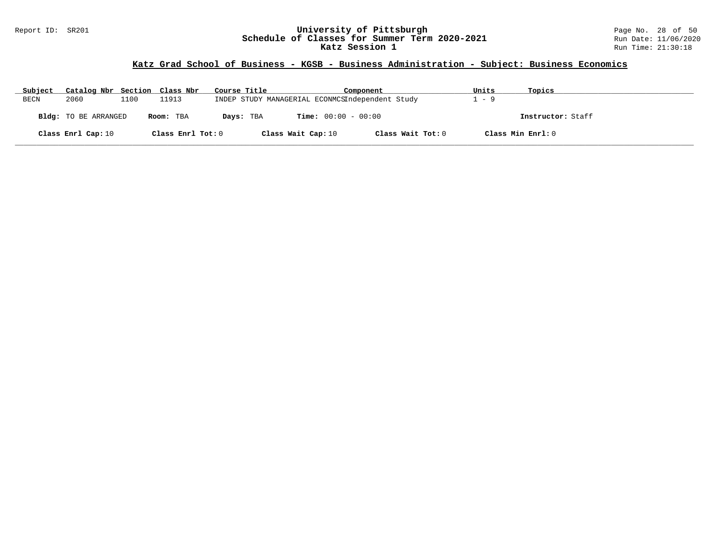### Report ID: SR201 **University of Pittsburgh** Page No. 28 of 50 **Schedule of Classes for Summer Term 2020-2021** Run Date: 11/06/2020 **Katz Session 1** Run Time: 21:30:18

# **Katz Grad School of Business - KGSB - Business Administration - Subject: Business Economics**

| Subject | Catalog Nbr Section Class Nbr |      |                   | Course Title       | Component                                       | Units | Topics            |
|---------|-------------------------------|------|-------------------|--------------------|-------------------------------------------------|-------|-------------------|
| BECN    | 2060                          | 1100 | 11913             |                    | INDEP STUDY MANAGERIAL ECONMCSIndependent Study | 1 – 9 |                   |
|         | Bldg: TO BE ARRANGED          |      | Room: TBA         | Days: TBA          | <b>Time:</b> $00:00 - 00:00$                    |       | Instructor: Staff |
|         | Class Enrl Cap: 10            |      | Class Enrl Tot: 0 | Class Wait Cap: 10 | Class Wait Tot: 0                               |       | Class Min Enrl: 0 |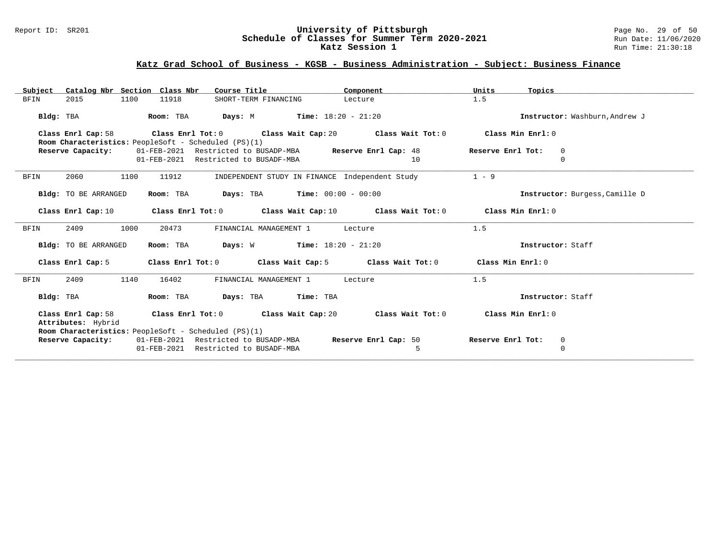#### Report ID: SR201 **University of Pittsburgh** Page No. 29 of 50 **Schedule of Classes for Summer Term 2020-2021** Run Date: 11/06/2020 **Katz Session 1** Run Time: 21:30:18

### **Katz Grad School of Business - KGSB - Business Administration - Subject: Business Finance**

| Subject                     | Catalog Nbr Section Class Nbr<br>Course Title                                               | Component            | Units<br>Topics                    |
|-----------------------------|---------------------------------------------------------------------------------------------|----------------------|------------------------------------|
| 2015<br>1100<br><b>BFIN</b> | 11918<br>SHORT-TERM FINANCING                                                               | Lecture              | 1.5                                |
| Bldg: TBA                   | <b>Days:</b> M <b>Time:</b> $18:20 - 21:20$<br>Room: TBA                                    |                      | Instructor: Washburn, Andrew J     |
| Class Enrl Cap: 58          | Class Enrl Tot: $0$ Class Wait Cap: $20$ Class Wait Tot: $0$                                |                      | Class Min Enrl: 0                  |
|                             | Room Characteristics: PeopleSoft - Scheduled (PS)(1)                                        |                      |                                    |
| Reserve Capacity:           | 01-FEB-2021 Restricted to BUSADP-MBA Reserve Enrl Cap: 48                                   |                      | Reserve Enrl Tot:<br>$\mathbf 0$   |
|                             | 01-FEB-2021 Restricted to BUSADF-MBA                                                        | 10                   | $\Omega$                           |
| 1100<br><b>BFIN</b><br>2060 | INDEPENDENT STUDY IN FINANCE Independent Study<br>11912                                     |                      | $1 - 9$                            |
| Bldg: TO BE ARRANGED        | <b>Days:</b> TBA <b>Time:</b> $00:00 - 00:00$<br>Room: TBA                                  |                      | Instructor: Burgess, Camille D     |
| Class Enrl Cap: 10          | Class Enrl Tot: $0$ Class Wait Cap: 10 Class Wait Tot: $0$ Class Min Enrl: $0$              |                      |                                    |
| 2409<br>1000<br><b>BFIN</b> | 20473<br>FINANCIAL MANAGEMENT 1                                                             | Lecture              | 1.5                                |
| Bldg: TO BE ARRANGED        | <b>Days:</b> W <b>Time:</b> $18:20 - 21:20$<br>Room: TBA                                    |                      | Instructor: Staff                  |
| Class Enrl Cap: 5           | Class Enrl Tot: $0$ Class Wait Cap: $5$ Class Wait Tot: $0$                                 |                      | Class Min Enrl: 0                  |
| 2409<br><b>BFIN</b><br>1140 | 16402<br>FINANCIAL MANAGEMENT 1                                                             | Lecture              | 1.5                                |
| Bldg: TBA                   | Room: TBA<br>Days: TBA Time: TBA                                                            |                      | Instructor: Staff                  |
| Attributes: Hybrid          | Class Enrl Cap: 58 Class Enrl Tot: 0 Class Wait Cap: 20 Class Wait Tot: 0 Class Min Enrl: 0 |                      |                                    |
|                             | Room Characteristics: PeopleSoft - Scheduled (PS)(1)                                        |                      |                                    |
| Reserve Capacity:           | 01-FEB-2021 Restricted to BUSADP-MBA<br>01-FEB-2021 Restricted to BUSADF-MBA                | Reserve Enrl Cap: 50 | Reserve Enrl Tot:<br>0<br>$\Omega$ |
|                             |                                                                                             | 5                    |                                    |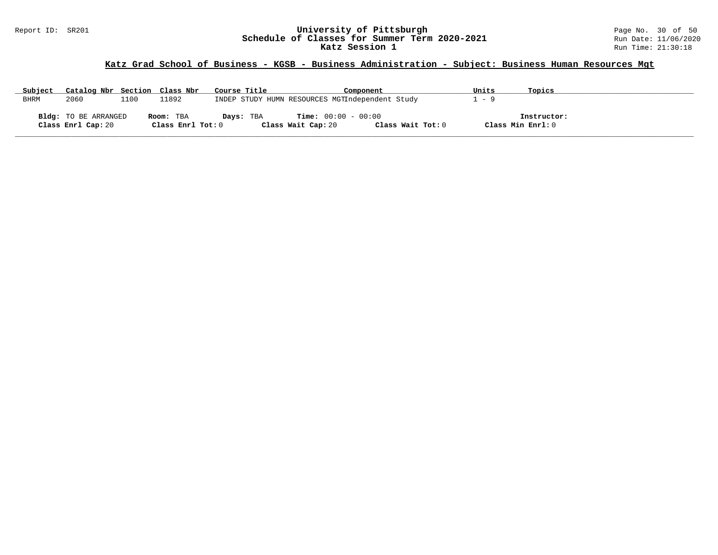### Report ID: SR201 **University of Pittsburgh** Page No. 30 of 50 **Schedule of Classes for Summer Term 2020-2021** Run Date: 11/06/2020 **Katz Session 1** Run Time: 21:30:18

# **Katz Grad School of Business - KGSB - Business Administration - Subject: Business Human Resources Mgt**

| Subject | Catalog Nbr Section Class Nbr |      |                   | Course Title | Component                                       | Units | Topics            |  |
|---------|-------------------------------|------|-------------------|--------------|-------------------------------------------------|-------|-------------------|--|
| BHRM    | 2060                          | 1100 | 11892             |              | INDEP STUDY HUMN RESOURCES MGTIndependent Study | $-9$  |                   |  |
|         |                               |      |                   |              |                                                 |       |                   |  |
|         | Bldg: TO BE ARRANGED          |      | Room: TBA         | Days: TBA    | $Time: 00:00 - 00:00$                           |       | Instructor:       |  |
|         | Class Enrl Cap: 20            |      | Class Enrl Tot: 0 |              | Class Wait Tot: 0<br>Class Wait Cap: 20         |       | Class Min Enrl: 0 |  |

**\_\_\_\_\_\_\_\_\_\_\_\_\_\_\_\_\_\_\_\_\_\_\_\_\_\_\_\_\_\_\_\_\_\_\_\_\_\_\_\_\_\_\_\_\_\_\_\_\_\_\_\_\_\_\_\_\_\_\_\_\_\_\_\_\_\_\_\_\_\_\_\_\_\_\_\_\_\_\_\_\_\_\_\_\_\_\_\_\_\_\_\_\_\_\_\_\_\_\_\_\_\_\_\_\_\_\_\_\_\_\_\_\_\_\_\_\_\_\_\_\_\_\_\_\_\_\_\_\_\_\_\_\_\_\_\_\_\_\_\_\_\_\_\_\_\_\_\_\_\_\_\_\_\_\_\_**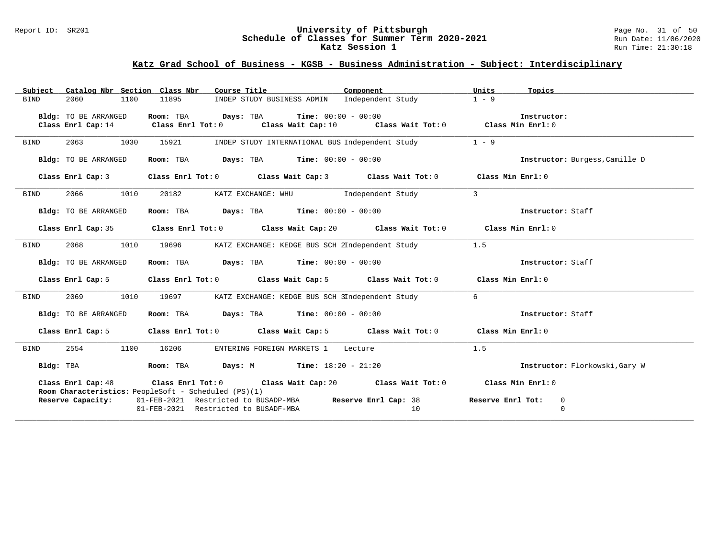### Report ID: SR201 **University of Pittsburgh** Page No. 31 of 50 **Schedule of Classes for Summer Term 2020-2021** Run Date: 11/06/2020 **Katz Session 1** Run Time: 21:30:18

# **Katz Grad School of Business - KGSB - Business Administration - Subject: Interdisciplinary**

| Subject     |                      | Catalog Nbr Section Class Nbr                        | Course Title <b>Source Search</b>                                                           | Component | Units<br>Topics                |
|-------------|----------------------|------------------------------------------------------|---------------------------------------------------------------------------------------------|-----------|--------------------------------|
| BIND        | 2060                 | 1100<br>11895                                        | INDEP STUDY BUSINESS ADMIN Independent Study                                                |           | $1 - 9$                        |
|             | Bldg: TO BE ARRANGED |                                                      | Room: TBA $Days:$ TBA $Time: 00:00 - 00:00$                                                 |           | Instructor:                    |
|             |                      |                                                      | Class Enrl Cap: 14 Class Enrl Tot: 0 Class Wait Cap: 10 Class Wait Tot: 0 Class Min Enrl: 0 |           |                                |
|             |                      |                                                      |                                                                                             |           |                                |
| BIND        | 2063                 | 1030<br>15921                                        | INDEP STUDY INTERNATIONAL BUS Independent Study                                             |           | $1 - 9$                        |
|             | Bldg: TO BE ARRANGED |                                                      | Room: TBA $Days:$ TBA $Time: 00:00 - 00:00$                                                 |           | Instructor: Burgess, Camille D |
|             | Class Enrl Cap: 3    |                                                      | Class Enrl Tot: 0 Class Wait Cap: 3 Class Wait Tot: 0 Class Min Enrl: 0                     |           |                                |
| BIND        | 2066                 | 1010<br>20182                                        | KATZ EXCHANGE: WHU             Independent Study                                            |           | $\overline{\mathbf{3}}$        |
|             | Bldg: TO BE ARRANGED |                                                      | Room: TBA $Days:$ TBA Time: $00:00 - 00:00$                                                 |           | Instructor: Staff              |
|             |                      |                                                      | Class Enrl Cap: 35 Class Enrl Tot: 0 Class Wait Cap: 20 Class Wait Tot: 0 Class Min Enrl: 0 |           |                                |
| BIND        | 2068                 | 1010<br>19696                                        | KATZ EXCHANGE: KEDGE BUS SCH 2Independent Study                                             |           | 1.5                            |
|             | Bldg: TO BE ARRANGED |                                                      | Room: TBA $Days:$ TBA $Time: 00:00 - 00:00$                                                 |           | Instructor: Staff              |
|             | Class Enrl Cap: 5    |                                                      | Class Enrl Tot: 0 Class Wait Cap: 5 Class Wait Tot: 0 Class Min Enrl: 0                     |           |                                |
| BIND        |                      |                                                      | 2069 1010 19697 KATZ EXCHANGE: KEDGE BUS SCH 3Independent Study                             |           | 6                              |
|             | Bldg: TO BE ARRANGED |                                                      | Room: TBA $Days: TBA$ Time: $00:00 - 00:00$                                                 |           | Instructor: Staff              |
|             | Class Enrl Cap: 5    |                                                      | Class Enrl Tot: 0 Class Wait Cap: 5 Class Wait Tot: 0 Class Min Enrl: 0                     |           |                                |
| <b>BIND</b> | 2554                 | 1100<br>16206                                        | ENTERING FOREIGN MARKETS 1 Lecture                                                          |           | 1.5                            |
|             | Bldg: TBA            |                                                      | Room: TBA $Days: M$ Time: $18:20 - 21:20$                                                   |           | Instructor: Florkowski, Gary W |
|             |                      | Room Characteristics: PeopleSoft - Scheduled (PS)(1) | Class Enrl Cap: 48 Class Enrl Tot: 0 Class Wait Cap: 20 Class Wait Tot: 0 Class Min Enrl: 0 |           |                                |
|             | Reserve Capacity:    |                                                      | 01-FEB-2021 Restricted to BUSADP-MBA <b>Reserve Enrl Cap:</b> 38 <b>Reserve Enrl Tot:</b> 0 |           |                                |
|             |                      |                                                      | 01-FEB-2021 Restricted to BUSADF-MBA                                                        | 10        | $\mathbf 0$                    |
|             |                      |                                                      |                                                                                             |           |                                |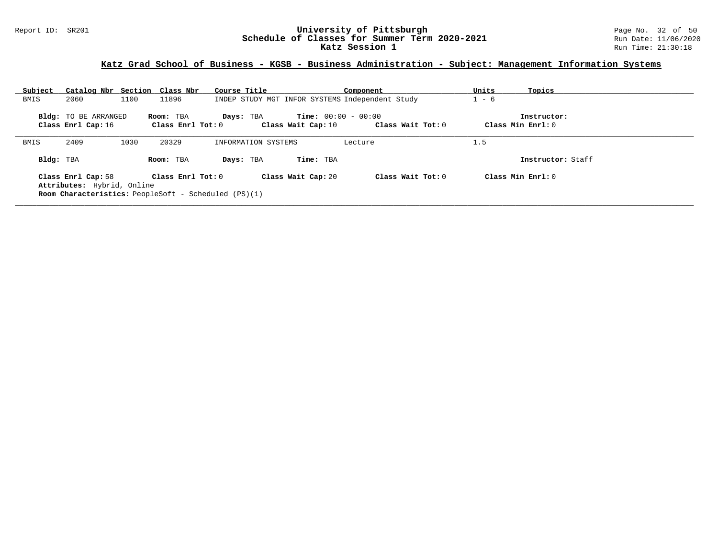### Report ID: SR201 **University of Pittsburgh** Page No. 32 of 50 **Schedule of Classes for Summer Term 2020-2021** Run Date: 11/06/2020 **Katz Session 1** Run Time: 21:30:18

# **Katz Grad School of Business - KGSB - Business Administration - Subject: Management Information Systems**

| Subject   | Catalog Nbr Section Class Nbr                    |      |                                | Course Title                                                  |                                                    | Component                                       | Units   | Topics                           |
|-----------|--------------------------------------------------|------|--------------------------------|---------------------------------------------------------------|----------------------------------------------------|-------------------------------------------------|---------|----------------------------------|
| BMIS      | 2060                                             | 1100 | 11896                          |                                                               |                                                    | INDEP STUDY MGT INFOR SYSTEMS Independent Study | $1 - 6$ |                                  |
|           | Bldg: TO BE ARRANGED<br>Class Enrl Cap: 16       |      | Room: TBA<br>Class Enrl Tot: 0 | Days: TBA                                                     | <b>Time:</b> $00:00 - 00:00$<br>Class Wait Cap: 10 | Class Wait Tot: 0                               |         | Instructor:<br>Class Min Enrl: 0 |
| BMIS      | 2409                                             | 1030 | 20329                          | INFORMATION SYSTEMS                                           |                                                    | Lecture                                         | 1.5     |                                  |
| Bldg: TBA |                                                  |      | Room: TBA                      | Days: TBA                                                     | Time: TBA                                          |                                                 |         | Instructor: Staff                |
|           | Class Enrl Cap: 58<br>Attributes: Hybrid, Online |      | Class Enrl Tot: 0              | <b>Room Characteristics:</b> PeopleSoft - Scheduled $(PS)(1)$ | Class Wait Cap: 20                                 | Class Wait Tot: $0$                             |         | Class Min Enrl: 0                |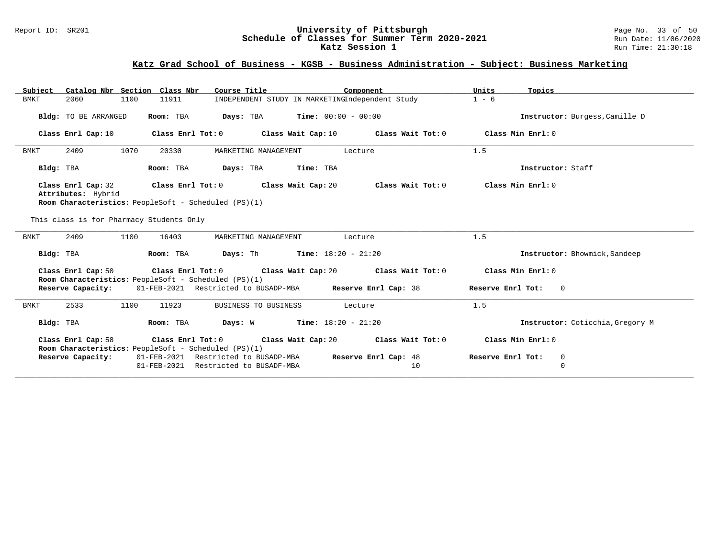### Report ID: SR201 **University of Pittsburgh** Page No. 33 of 50 **Schedule of Classes for Summer Term 2020-2021** Run Date: 11/06/2020 **Katz Session 1** Run Time: 21:30:18

# **Katz Grad School of Business - KGSB - Business Administration - Subject: Business Marketing**

| Catalog Nbr Section Class Nbr<br>Subject | Course Title                                                                                                                        | Component                                | Units<br>Topics                       |
|------------------------------------------|-------------------------------------------------------------------------------------------------------------------------------------|------------------------------------------|---------------------------------------|
| 2060<br>1100<br><b>BMKT</b>              | INDEPENDENT STUDY IN MARKETINGIndependent Study<br>11911                                                                            |                                          | $1 - 6$                               |
| Bldg: TO BE ARRANGED                     | Days: TBA<br>$Time: 00:00 - 00:00$<br>Room: TBA                                                                                     |                                          | Instructor: Burgess, Camille D        |
| Class Enrl Cap: 10                       | Class Enrl Tot: 0 Class Wait Cap: 10 Class Wait Tot: 0                                                                              |                                          | Class Min Enrl: 0                     |
| 2409<br>1070<br>BMKT                     | 20330<br>MARKETING MANAGEMENT                                                                                                       | Lecture                                  | 1.5                                   |
| Bldg: TBA                                | Room: TBA<br>Days: TBA Time: TBA                                                                                                    |                                          | Instructor: Staff                     |
| Class Enrl Cap: 32<br>Attributes: Hybrid | Class Enrl Tot: 0 Class Wait Cap: 20                                                                                                | Class Wait Tot: 0                        | Class Min Enrl: 0                     |
|                                          | Room Characteristics: PeopleSoft - Scheduled (PS)(1)                                                                                |                                          |                                       |
| This class is for Pharmacy Students Only |                                                                                                                                     |                                          |                                       |
| 2409<br>1100<br><b>BMKT</b>              | 16403<br>MARKETING MANAGEMENT                                                                                                       | Lecture                                  | 1.5                                   |
| Bldg: TBA                                | <b>Days:</b> Th <b>Time:</b> $18:20 - 21:20$<br>Room: TBA                                                                           |                                          | Instructor: Bhowmick, Sandeep         |
| Class Enrl Cap: 50                       | Class Enrl Tot: $0$ Class Wait Cap: $20$ Class Wait Tot: $0$                                                                        |                                          | Class Min Enrl: 0                     |
|                                          | Room Characteristics: PeopleSoft - Scheduled (PS)(1)<br>Reserve Capacity: 01-FEB-2021 Restricted to BUSADP-MBA Reserve Enrl Cap: 38 |                                          | Reserve Enrl Tot: 0                   |
| 2533<br>1100<br><b>BMKT</b>              | 11923<br>BUSINESS TO BUSINESS                                                                                                       | Lecture                                  | 1.5                                   |
| Bldg: TBA                                | <b>Days:</b> W <b>Time:</b> $18:20 - 21:20$<br>Room: TBA                                                                            |                                          | Instructor: Coticchia, Gregory M      |
| Class Enrl Cap: 58                       | Class Enrl Tot: 0<br>Room Characteristics: PeopleSoft - Scheduled (PS)(1)                                                           | Class Wait Cap: $20$ Class Wait Tot: $0$ | Class Min Enrl: 0                     |
| Reserve Capacity:                        | 01-FEB-2021 Restricted to BUSADP-MBA<br>01-FEB-2021 Restricted to BUSADF-MBA                                                        | Reserve Enrl Cap: 48<br>10               | Reserve Enrl Tot:<br>0<br>$\mathbf 0$ |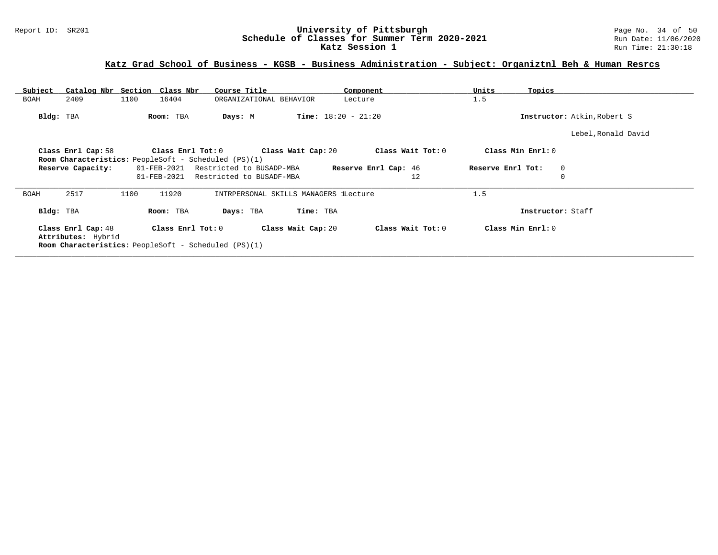### Report ID: SR201 **University of Pittsburgh** Page No. 34 of 50 **Schedule of Classes for Summer Term 2020-2021** Run Date: 11/06/2020 **Katz Session 1** Run Time: 21:30:18

# **Katz Grad School of Business - KGSB - Business Administration - Subject: Organiztnl Beh & Human Resrcs**

| Subject                                  | Catalog Nbr Section Class Nbr                                                    | Course Title                          | Component                    | Units<br>Topics             |  |
|------------------------------------------|----------------------------------------------------------------------------------|---------------------------------------|------------------------------|-----------------------------|--|
| 2409<br>BOAH                             | 1100<br>16404                                                                    | ORGANIZATIONAL BEHAVIOR               | Lecture                      | 1.5                         |  |
| Bldg: TBA                                | Room: TBA                                                                        | Days: M                               | <b>Time:</b> $18:20 - 21:20$ | Instructor: Atkin, Robert S |  |
|                                          |                                                                                  |                                       |                              | Lebel, Ronald David         |  |
| Class Enrl Cap: 58                       | Class Enrl Tot: 0<br><b>Room Characteristics:</b> PeopleSoft - Scheduled (PS)(1) | Class Wait Cap: 20                    | Class Wait Tot: 0            | Class Min Enrl: 0           |  |
| Reserve Capacity:                        | 01-FEB-2021                                                                      | Restricted to BUSADP-MBA              | Reserve Enrl Cap: 46         | Reserve Enrl Tot:<br>0      |  |
|                                          | 01-FEB-2021                                                                      | Restricted to BUSADF-MBA              | 12                           |                             |  |
| 2517<br><b>BOAH</b>                      | 11920<br>1100                                                                    | INTRPERSONAL SKILLS MANAGERS lLecture |                              | 1.5                         |  |
| Bldg: TBA                                | Room: TBA                                                                        | Days: TBA                             | Time: TBA                    | Instructor: Staff           |  |
| Class Enrl Cap: 48<br>Attributes: Hybrid | Class Enrl Tot: 0<br><b>Room Characteristics:</b> PeopleSoft - Scheduled (PS)(1) | Class Wait Cap: 20                    | Class Wait Tot: 0            | Class Min Enrl: 0           |  |
|                                          |                                                                                  |                                       |                              |                             |  |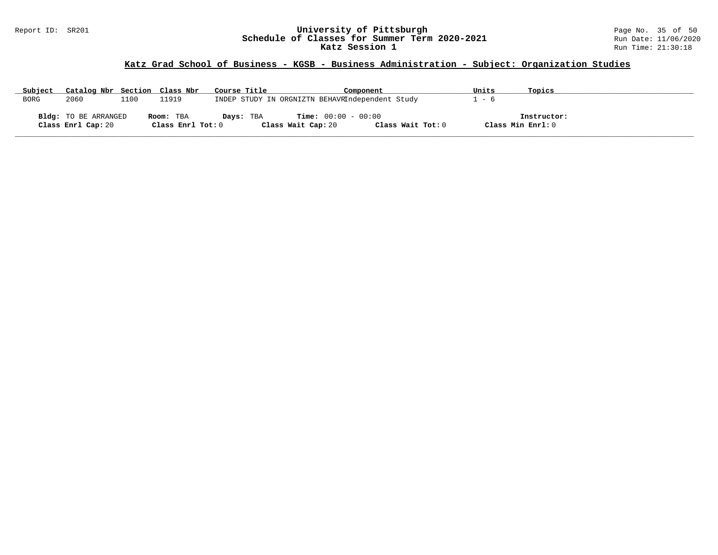#### Report ID: SR201 **University of Pittsburgh** Page No. 35 of 50 **Schedule of Classes for Summer Term 2020-2021** Run Date: 11/06/2020 **Katz Session 1** Run Time: 21:30:18

# **Katz Grad School of Business - KGSB - Business Administration - Subject: Organization Studies**

| Subject     | Catalog Nbr Section Class Nbr                     |      |                                | Course Title |                                                    | Component                                       | Units | Topics                           |  |
|-------------|---------------------------------------------------|------|--------------------------------|--------------|----------------------------------------------------|-------------------------------------------------|-------|----------------------------------|--|
| <b>BORG</b> | 2060                                              | ⊥100 | 11919                          |              |                                                    | INDEP STUDY IN ORGNIZTN BEHAVRIndependent Study | $-6$  |                                  |  |
|             | <b>Bldg:</b> TO BE ARRANGED<br>Class Enrl Cap: 20 |      | Room: TBA<br>Class Enrl Tot: 0 | Days: TBA    | <b>Time:</b> $00:00 - 00:00$<br>Class Wait Cap: 20 | Class Wait Tot: 0                               |       | Instructor:<br>Class Min Enrl: 0 |  |

**\_\_\_\_\_\_\_\_\_\_\_\_\_\_\_\_\_\_\_\_\_\_\_\_\_\_\_\_\_\_\_\_\_\_\_\_\_\_\_\_\_\_\_\_\_\_\_\_\_\_\_\_\_\_\_\_\_\_\_\_\_\_\_\_\_\_\_\_\_\_\_\_\_\_\_\_\_\_\_\_\_\_\_\_\_\_\_\_\_\_\_\_\_\_\_\_\_\_\_\_\_\_\_\_\_\_\_\_\_\_\_\_\_\_\_\_\_\_\_\_\_\_\_\_\_\_\_\_\_\_\_\_\_\_\_\_\_\_\_\_\_\_\_\_\_\_\_\_\_\_\_\_\_\_\_\_**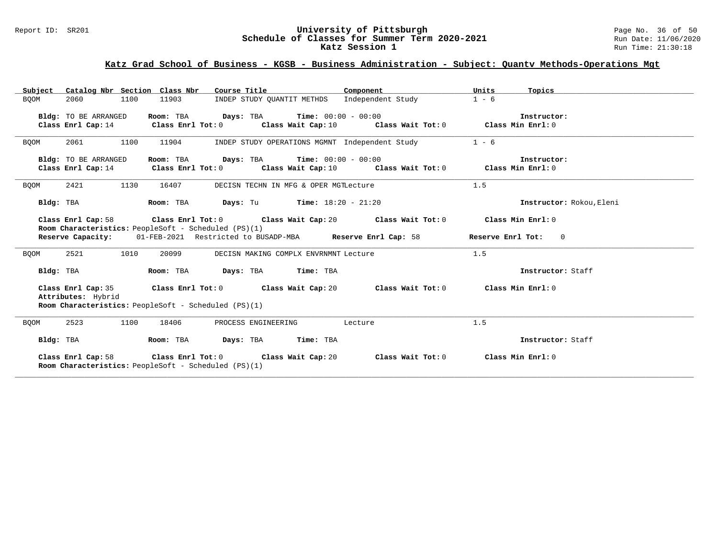#### Report ID: SR201 **University of Pittsburgh** Page No. 36 of 50 **Schedule of Classes for Summer Term 2020-2021** Run Date: 11/06/2020 **Katz Session 1** Run Time: 21:30:18

# **Katz Grad School of Business - KGSB - Business Administration - Subject: Quantv Methods-Operations Mgt**

|                             | Subject Catalog Nbr Section Class Nbr Course Title The Component                                                                                        | Units<br>Topics          |
|-----------------------------|---------------------------------------------------------------------------------------------------------------------------------------------------------|--------------------------|
| 2060<br>1100<br><b>BOOM</b> | INDEP STUDY QUANTIT METHDS Independent Study<br>11903                                                                                                   | $1 - 6$                  |
| Bldg: TO BE ARRANGED        | Room: TBA $Days:$ TBA $Time: 00:00 - 00:00$<br>Class Enrl Cap: 14 Class Enrl Tot: 0 Class Wait Cap: 10 Class Wait Tot: 0 Class Min Enrl: 0              | Instructor:              |
| 2061<br>1100<br><b>BOOM</b> | INDEP STUDY OPERATIONS MGMNT Independent Study<br>11904                                                                                                 | $1 - 6$                  |
| Bldg: TO BE ARRANGED        | Room: TBA $Days:$ TBA $Time: 00:00 - 00:00$<br>Class Enrl Cap: 14 Class Enrl Tot: 0 Class Wait Cap: 10 Class Wait Tot: 0 Class Min Enrl: 0              | Instructor:              |
| 2421<br>1130<br><b>BQOM</b> | 16407<br>DECISN TECHN IN MFG & OPER MGTLecture                                                                                                          | 1.5                      |
| Bldg: TBA                   | <b>Room:</b> TBA $Days: Tu$ <b>Time:</b> $18:20 - 21:20$                                                                                                | Instructor: Rokou, Eleni |
|                             | Class Enrl Cap: 58 Class Enrl Tot: 0 Class Wait Cap: 20 Class Wait Tot: 0 Class Min Enrl: 0                                                             |                          |
|                             | Room Characteristics: PeopleSoft - Scheduled (PS)(1)<br>Reserve Capacity: 01-FEB-2021 Restricted to BUSADP-MBA Reserve Enrl Cap: 58 Reserve Enrl Tot: 0 |                          |
| 2521<br>1010<br><b>BQOM</b> | 20099<br>DECISN MAKING COMPLX ENVRNMNT Lecture                                                                                                          | 1.5                      |
| Bldg: TBA                   | Room: TBA Days: TBA Time: TBA                                                                                                                           | Instructor: Staff        |
| Attributes: Hybrid          | Class Enrl Cap: 35 Class Enrl Tot: 0 Class Wait Cap: 20 Class Wait Tot: 0 Class Min Enrl: 0<br>Room Characteristics: PeopleSoft - Scheduled (PS)(1)     |                          |
|                             |                                                                                                                                                         |                          |
| 2523<br>1100<br><b>BQOM</b> | 18406<br>PROCESS ENGINEERING<br>Lecture                                                                                                                 | 1.5                      |
| Bldg: TBA                   | Room: TBA Days: TBA Time: TBA                                                                                                                           | Instructor: Staff        |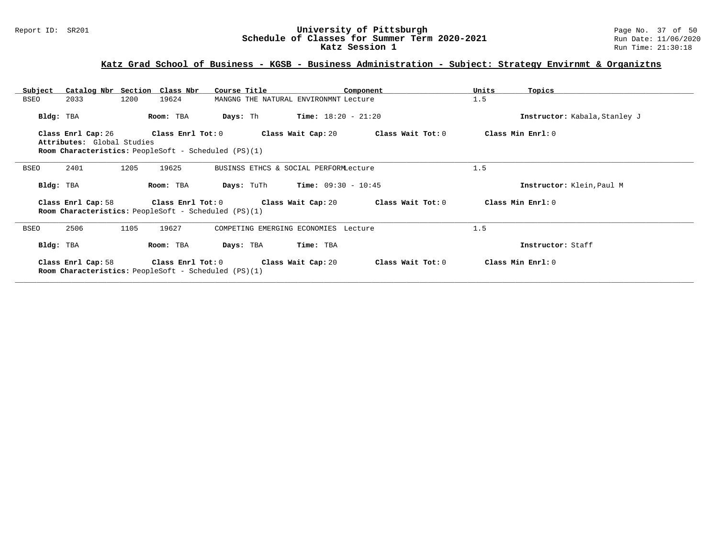#### Report ID: SR201 **University of Pittsburgh** Page No. 37 of 50 **Schedule of Classes for Summer Term 2020-2021** Run Date: 11/06/2020 **Katz Session 1** Run Time: 21:30:18

# **Katz Grad School of Business - KGSB - Business Administration - Subject: Strategy Envirnmt & Organiztns**

| Subject     |                                                  |      | Catalog Nbr Section Class Nbr                                                    | Course Title      |                                       | Component                                                    | Units             | Topics                        |
|-------------|--------------------------------------------------|------|----------------------------------------------------------------------------------|-------------------|---------------------------------------|--------------------------------------------------------------|-------------------|-------------------------------|
| <b>BSEO</b> | 2033                                             | 1200 | 19624                                                                            |                   | MANGNG THE NATURAL ENVIRONMNT Lecture |                                                              | 1.5               |                               |
| Bldg: TBA   |                                                  |      | Room: TBA                                                                        | Days: Th          | <b>Time:</b> $18:20 - 21:20$          |                                                              |                   | Instructor: Kabala, Stanley J |
|             | Class Enrl Cap: 26<br>Attributes: Global Studies |      | Class Enrl Tot: 0<br><b>Room Characteristics:</b> PeopleSoft - Scheduled (PS)(1) |                   | Class Wait Cap: 20                    | Class Wait Tot: 0                                            |                   | Class Min Enrl: 0             |
| <b>BSEO</b> | 2401                                             | 1205 | 19625                                                                            |                   | BUSINSS ETHCS & SOCIAL PERFORMLecture |                                                              | 1.5               |                               |
| Bldg: TBA   |                                                  |      | Room: TBA                                                                        | <b>Days:</b> TuTh | $Time: 09:30 - 10:45$                 |                                                              |                   | Instructor: Klein, Paul M     |
|             | Class Enrl Cap: 58                               |      | <b>Room Characteristics:</b> PeopleSoft - Scheduled (PS)(1)                      |                   |                                       | Class Enrl Tot: $0$ Class Wait Cap: $20$ Class Wait Tot: $0$ | Class Min Enrl: 0 |                               |
| <b>BSEO</b> | 2506                                             | 1105 | 19627                                                                            |                   | COMPETING EMERGING ECONOMIES Lecture  |                                                              | 1.5               |                               |
| Bldg: TBA   |                                                  |      | Room: TBA                                                                        | Days: TBA         | Time: TBA                             |                                                              |                   | Instructor: Staff             |
|             | Class Enrl Cap: 58                               |      | Class Enrl Tot: 0<br><b>Room Characteristics:</b> PeopleSoft - Scheduled (PS)(1) |                   | Class Wait Cap: 20                    | Class Wait Tot: 0                                            |                   | Class Min Enrl: 0             |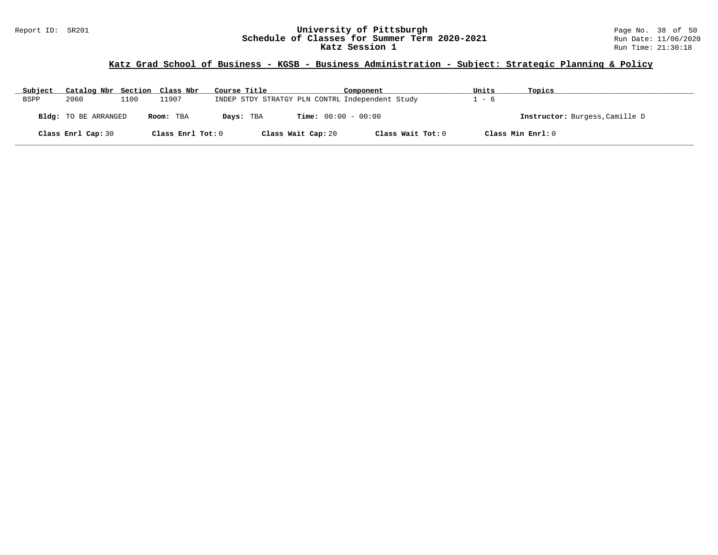### Report ID: SR201 **University of Pittsburgh** Page No. 38 of 50 **Schedule of Classes for Summer Term 2020-2021** Run Date: 11/06/2020 **Katz Session 1** Run Time: 21:30:18

### **Katz Grad School of Business - KGSB - Business Administration - Subject: Strategic Planning & Policy**

| Subject     | Catalog Nbr Section Class Nbr |      |                   | Course Title                                    | Component                    | Units | Topics                         |
|-------------|-------------------------------|------|-------------------|-------------------------------------------------|------------------------------|-------|--------------------------------|
| <b>BSPP</b> | 2060                          | 1100 | 11907             | INDEP STDY STRATGY PLN CONTRL Independent Study |                              | - 6   |                                |
|             | <b>Bldg:</b> TO BE ARRANGED   |      | Room: TBA         | Days: TBA                                       | <b>Time:</b> $00:00 - 00:00$ |       | Instructor: Burgess, Camille D |
|             | Class Enrl Cap: 30            |      | Class Enrl Tot: 0 | Class Wait Cap: 20                              | Class Wait Tot: 0            |       | Class Min Enrl: 0              |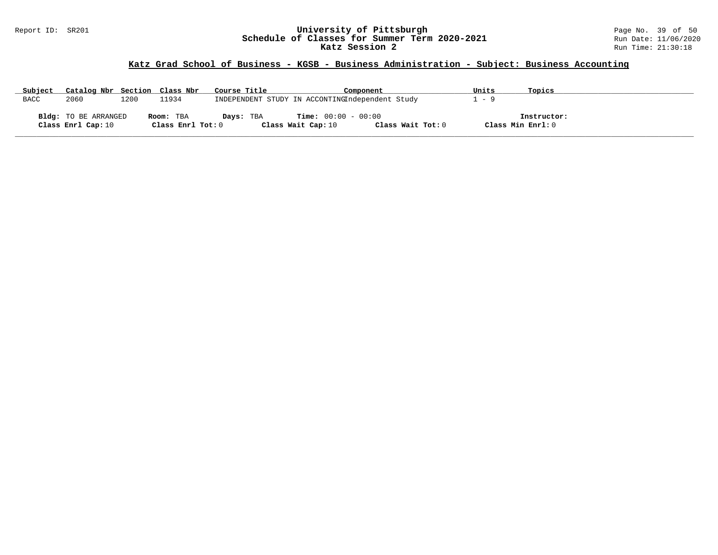### Report ID: SR201 **University of Pittsburgh** Page No. 39 of 50 **Schedule of Classes for Summer Term 2020-2021** Run Date: 11/06/2020 **Katz Session 2 Run Time: 21:30:18** Run Time: 21:30:18

# **Katz Grad School of Business - KGSB - Business Administration - Subject: Business Accounting**

| Subject     | Catalog Nbr Section Class Nbr |      |                   | Course Title | Component                                       |                   | Units                     | Topics            |
|-------------|-------------------------------|------|-------------------|--------------|-------------------------------------------------|-------------------|---------------------------|-------------------|
| <b>BACC</b> | 2060                          | 1200 | L1934             |              | INDEPENDENT STUDY IN ACCONTINGIndependent Study |                   | $\qquad \qquad - \quad c$ |                   |
|             |                               |      |                   |              |                                                 |                   |                           |                   |
|             | Bldg: TO BE ARRANGED          |      | Room: TBA         | Days: TBA    | <b>Time:</b> $00:00 - 00:00$                    |                   |                           | Instructor:       |
|             | Class Enrl Cap: 10            |      | Class Enrl Tot: 0 |              | Class Wait Cap: 10                              | Class Wait Tot: 0 |                           | Class Min Enrl: 0 |

**\_\_\_\_\_\_\_\_\_\_\_\_\_\_\_\_\_\_\_\_\_\_\_\_\_\_\_\_\_\_\_\_\_\_\_\_\_\_\_\_\_\_\_\_\_\_\_\_\_\_\_\_\_\_\_\_\_\_\_\_\_\_\_\_\_\_\_\_\_\_\_\_\_\_\_\_\_\_\_\_\_\_\_\_\_\_\_\_\_\_\_\_\_\_\_\_\_\_\_\_\_\_\_\_\_\_\_\_\_\_\_\_\_\_\_\_\_\_\_\_\_\_\_\_\_\_\_\_\_\_\_\_\_\_\_\_\_\_\_\_\_\_\_\_\_\_\_\_\_\_\_\_\_\_\_\_**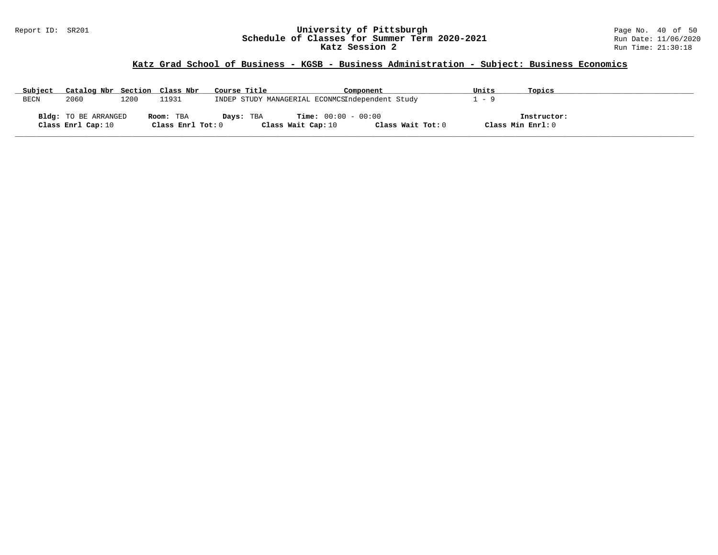### Report ID: SR201 **University of Pittsburgh** Page No. 40 of 50 **Schedule of Classes for Summer Term 2020-2021** Run Date: 11/06/2020 **Katz Session 2 Run Time: 21:30:18** Run Time: 21:30:18

# **Katz Grad School of Business - KGSB - Business Administration - Subject: Business Economics**

| Subject | Catalog Nbr Section Class Nbr |      |                   | Course Title | Component                                       | Units             | Topics            |  |
|---------|-------------------------------|------|-------------------|--------------|-------------------------------------------------|-------------------|-------------------|--|
| BECN    | 2060                          | 1200 | 11931             |              | INDEP STUDY MANAGERIAL ECONMCSIndependent Study | - 9               |                   |  |
|         | <b>Bldg:</b> TO BE ARRANGED   |      | Room: TBA         | Days: TBA    | <b>Time:</b> $00:00 - 00:00$                    |                   | Instructor:       |  |
|         | Class Enrl Cap: 10            |      | Class Enrl Tot: 0 |              | Class Wait Cap: 10                              | Class Wait Tot: 0 | Class Min Enrl: 0 |  |

**\_\_\_\_\_\_\_\_\_\_\_\_\_\_\_\_\_\_\_\_\_\_\_\_\_\_\_\_\_\_\_\_\_\_\_\_\_\_\_\_\_\_\_\_\_\_\_\_\_\_\_\_\_\_\_\_\_\_\_\_\_\_\_\_\_\_\_\_\_\_\_\_\_\_\_\_\_\_\_\_\_\_\_\_\_\_\_\_\_\_\_\_\_\_\_\_\_\_\_\_\_\_\_\_\_\_\_\_\_\_\_\_\_\_\_\_\_\_\_\_\_\_\_\_\_\_\_\_\_\_\_\_\_\_\_\_\_\_\_\_\_\_\_\_\_\_\_\_\_\_\_\_\_\_\_\_**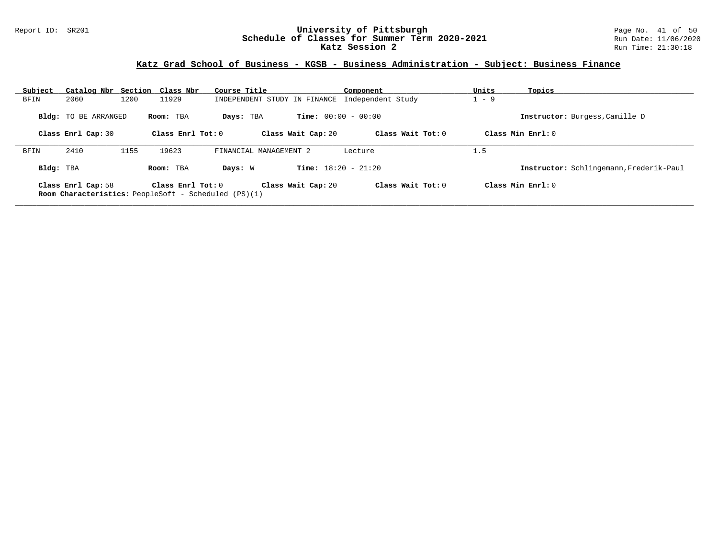### Report ID: SR201 **University of Pittsburgh** Page No. 41 of 50 **Schedule of Classes for Summer Term 2020-2021** Run Date: 11/06/2020 **Katz Session 2 Run Time: 21:30:18** Run Time: 21:30:18

# **Katz Grad School of Business - KGSB - Business Administration - Subject: Business Finance**

| Subject   | Catalog Nbr Section Class Nbr |      |                     | Course Title                                                |                              | Component           | Units   | Topics                                  |
|-----------|-------------------------------|------|---------------------|-------------------------------------------------------------|------------------------------|---------------------|---------|-----------------------------------------|
| BFIN      | 2060                          | 1200 | 11929               | INDEPENDENT STUDY IN FINANCE                                |                              | Independent Study   | $1 - 9$ |                                         |
|           | <b>Bldg:</b> TO BE ARRANGED   |      | Room: TBA           | Days: TBA                                                   | <b>Time:</b> $00:00 - 00:00$ |                     |         | Instructor: Burgess, Camille D          |
|           | Class Enrl Cap: 30            |      | Class $Enr1 Tot: 0$ |                                                             | Class Wait Cap: 20           | Class Wait Tot: $0$ |         | Class Min $Enrl: 0$                     |
| BFIN      | 2410                          | 1155 | 19623               | FINANCIAL MANAGEMENT 2                                      |                              | Lecture             | 1.5     |                                         |
| Bldg: TBA |                               |      | Room: TBA           | Days: W                                                     | <b>Time:</b> $18:20 - 21:20$ |                     |         | Instructor: Schlingemann, Frederik-Paul |
|           | Class Enrl Cap: 58            |      | Class Enrl Tot: $0$ | <b>Room Characteristics:</b> PeopleSoft - Scheduled (PS)(1) | Class Wait Cap: 20           | Class Wait Tot: 0   |         | Class Min $Enrl: 0$                     |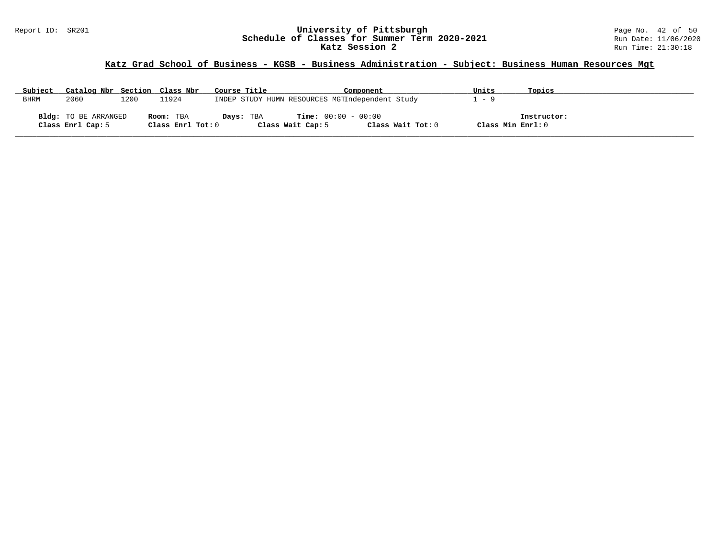### Report ID: SR201 **University of Pittsburgh** Page No. 42 of 50 **Schedule of Classes for Summer Term 2020-2021** Run Date: 11/06/2020 **Katz Session 2** Run Time: 21:30:18

# **Katz Grad School of Business - KGSB - Business Administration - Subject: Business Human Resources Mgt**

| Subject | Catalog Nbr Section Class Nbr |      |                     | Course Title | Component                                       | Units             | Topics      |
|---------|-------------------------------|------|---------------------|--------------|-------------------------------------------------|-------------------|-------------|
| BHRM    | 2060                          | 1200 | 11924               |              | INDEP STUDY HUMN RESOURCES MGTIndependent Study | $\sim$ $-$        |             |
|         |                               |      |                     |              |                                                 |                   |             |
|         | Bldg: TO BE ARRANGED          |      | Room: TBA           | Days: TBA    | <b>Time:</b> $00:00 - 00:00$                    |                   | Instructor: |
|         | Class Enrl Cap: 5             |      | Class Enrl Tot: $0$ |              | Class Wait Tot: 0<br>Class Wait Cap: 5          | Class Min Enrl: 0 |             |

**\_\_\_\_\_\_\_\_\_\_\_\_\_\_\_\_\_\_\_\_\_\_\_\_\_\_\_\_\_\_\_\_\_\_\_\_\_\_\_\_\_\_\_\_\_\_\_\_\_\_\_\_\_\_\_\_\_\_\_\_\_\_\_\_\_\_\_\_\_\_\_\_\_\_\_\_\_\_\_\_\_\_\_\_\_\_\_\_\_\_\_\_\_\_\_\_\_\_\_\_\_\_\_\_\_\_\_\_\_\_\_\_\_\_\_\_\_\_\_\_\_\_\_\_\_\_\_\_\_\_\_\_\_\_\_\_\_\_\_\_\_\_\_\_\_\_\_\_\_\_\_\_\_\_\_\_**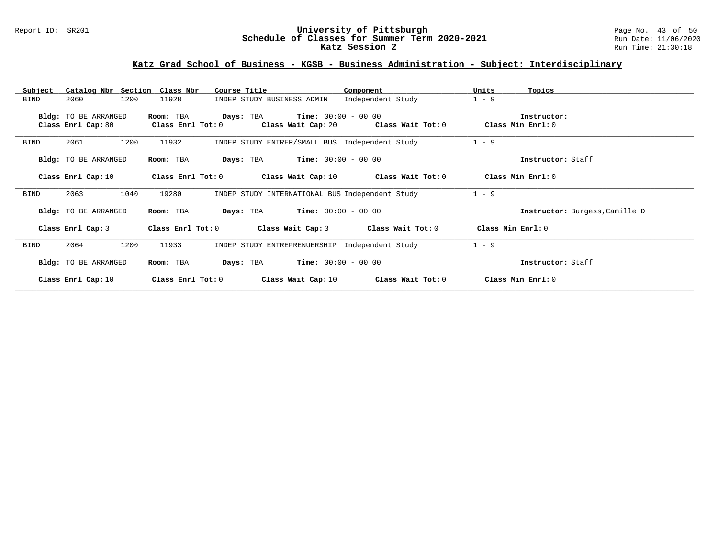### Report ID: SR201 **University of Pittsburgh** Page No. 43 of 50 **Schedule of Classes for Summer Term 2020-2021** Run Date: 11/06/2020 **Katz Session 2 Run Time: 21:30:18** Run Time: 21:30:18

# **Katz Grad School of Business - KGSB - Business Administration - Subject: Interdisciplinary**

| Catalog Nbr Section Class Nbr<br>Subject | Course Title                        | Component                                       | Units<br>Topics                |
|------------------------------------------|-------------------------------------|-------------------------------------------------|--------------------------------|
| 1200<br><b>BIND</b><br>2060              | 11928<br>INDEP STUDY BUSINESS ADMIN | Independent Study                               | $1 - 9$                        |
|                                          |                                     |                                                 |                                |
| Bldg: TO BE ARRANGED                     | Room: TBA<br>Days: TBA              | $Time: 00:00 - 00:00$                           | Instructor:                    |
| Class Enrl Cap: 80                       | Class Enrl Tot: 0                   | Class Wait Cap: 20 Class Wait Tot: 0            | Class Min Enrl: 0              |
| 2061<br>1200<br>BIND                     | 11932                               | INDEP STUDY ENTREP/SMALL BUS Independent Study  | $1 - 9$                        |
| Bldg: TO BE ARRANGED                     | Room: TBA                           | <b>Days:</b> TBA <b>Time:</b> $00:00 - 00:00$   | Instructor: Staff              |
| Class Enrl Cap: 10                       | $Class$ $Enrl$ $Tot: 0$             | Class Wait Cap: $10$ Class Wait Tot: $0$        | Class Min Enrl: 0              |
| 1040<br>2063<br><b>BIND</b>              | 19280                               | INDEP STUDY INTERNATIONAL BUS Independent Study | $1 - 9$                        |
| Bldg: TO BE ARRANGED                     | Room: TBA<br>Days: TBA              | $Time: 00:00 - 00:00$                           | Instructor: Burgess, Camille D |
| Class Enrl Cap: 3                        | Class Enrl Tot: 0                   | Class Wait Tot: 0<br>Class Wait Cap: 3          | Class Min $Enr1:0$             |
| 1200<br>BIND<br>2064                     | 11933                               | INDEP STUDY ENTREPRENUERSHIP Independent Study  | $1 - 9$                        |
| Bldg: TO BE ARRANGED                     | Room: TBA<br>Days: TBA              | $Time: 00:00 - 00:00$                           | Instructor: Staff              |
| Class Enrl Cap: 10                       | Class Enrl Tot: $0$                 | Class Wait Cap: $10$ Class Wait Tot: $0$        | Class Min Enrl: 0              |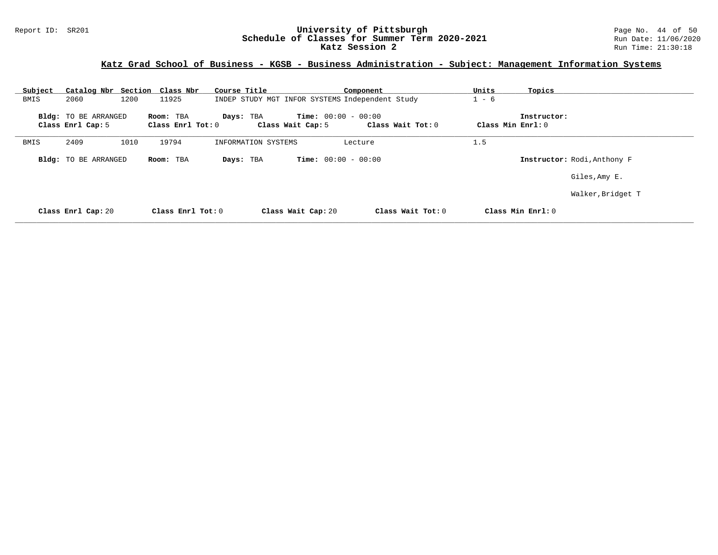### Report ID: SR201 **University of Pittsburgh** Page No. 44 of 50 **Schedule of Classes for Summer Term 2020-2021** Run Date: 11/06/2020 **Katz Session 2** Run Time: 21:30:18

# **Katz Grad School of Business - KGSB - Business Administration - Subject: Management Information Systems**

| Subject | Catalog Nbr Section Class Nbr             |                                  | Course Title                                    |                                                   | Component         | Units             | Topics                      |
|---------|-------------------------------------------|----------------------------------|-------------------------------------------------|---------------------------------------------------|-------------------|-------------------|-----------------------------|
| BMIS    | 2060<br>1200                              | 11925                            | INDEP STUDY MGT INFOR SYSTEMS Independent Study |                                                   |                   | $1 - 6$           |                             |
|         | Bldg: TO BE ARRANGED<br>Class Enrl Cap: 5 | Room: TBA<br>Class Enrl Tot: $0$ | Days: TBA                                       | <b>Time:</b> $00:00 - 00:00$<br>Class Wait Cap: 5 | Class Wait Tot: 0 | Class Min Enrl: 0 | Instructor:                 |
| BMIS    | 2409<br>1010                              | 19794                            | INFORMATION SYSTEMS                             |                                                   | Lecture           | 1.5               |                             |
|         | Bldg: TO BE ARRANGED                      | Room: TBA                        | Days: TBA                                       | <b>Time:</b> $00:00 - 00:00$                      |                   |                   | Instructor: Rodi, Anthony F |
|         |                                           |                                  |                                                 |                                                   |                   |                   | Giles, Amy E.               |
|         |                                           |                                  |                                                 |                                                   |                   |                   | Walker, Bridget T           |
|         | Class Enrl Cap: 20                        | $Class$ $Enrl$ $Tot: 0$          |                                                 | Class Wait Cap: 20                                | Class Wait Tot: 0 |                   | Class Min $Enr1: 0$         |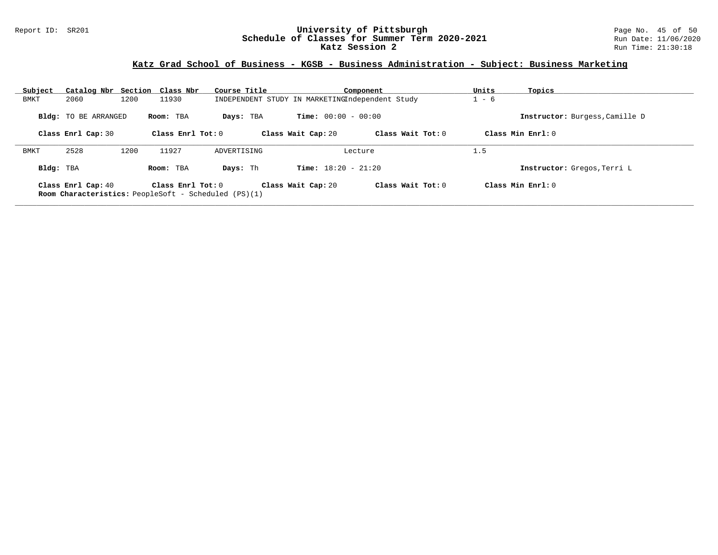### Report ID: SR201 **University of Pittsburgh** Page No. 45 of 50 **Schedule of Classes for Summer Term 2020-2021** Run Date: 11/06/2020 **Katz Session 2 Run Time: 21:30:18** Run Time: 21:30:18

# **Katz Grad School of Business - KGSB - Business Administration - Subject: Business Marketing**

| Subject   | Catalog Nbr Section Class Nbr |      |                     | Course Title                                                |                              | Component           | Units   | Topics                         |
|-----------|-------------------------------|------|---------------------|-------------------------------------------------------------|------------------------------|---------------------|---------|--------------------------------|
| BMKT      | 2060                          | 1200 | 11930               | INDEPENDENT STUDY IN MARKETINGIndependent Study             |                              |                     | $1 - 6$ |                                |
|           | <b>Bldg:</b> TO BE ARRANGED   |      | Room: TBA           | Days: TBA                                                   | <b>Time:</b> $00:00 - 00:00$ |                     |         | Instructor: Burgess, Camille D |
|           | Class Enrl Cap: 30            |      | Class Enrl Tot: $0$ |                                                             | Class Wait Cap: 20           | Class Wait Tot: 0   |         | Class Min Enrl: 0              |
| BMKT      | 2528                          | 1200 | 11927               | ADVERTISING                                                 |                              | Lecture             | 1.5     |                                |
| Bldg: TBA |                               |      | Room: TBA           | Days: Th                                                    | <b>Time:</b> $18:20 - 21:20$ |                     |         | Instructor: Gregos, Terri L    |
|           | Class Enrl Cap: 40            |      | Class Enrl Tot: $0$ | <b>Room Characteristics:</b> PeopleSoft - Scheduled (PS)(1) | Class Wait Cap: 20           | Class Wait Tot: $0$ |         | Class Min $Enrl: 0$            |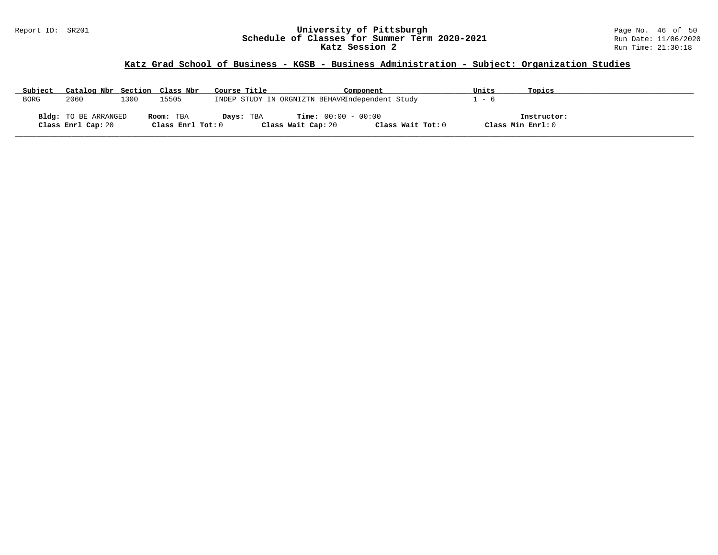#### Report ID: SR201 **University of Pittsburgh** Page No. 46 of 50 **Schedule of Classes for Summer Term 2020-2021** Run Date: 11/06/2020 **Katz Session 2** Run Time: 21:30:18

# **Katz Grad School of Business - KGSB - Business Administration - Subject: Organization Studies**

| Subject     | Catalog Nbr Section Class Nbr                     |      |                                | Course Title | Component                                          |                   | Units             | Topics      |
|-------------|---------------------------------------------------|------|--------------------------------|--------------|----------------------------------------------------|-------------------|-------------------|-------------|
| <b>BORG</b> | 2060                                              | 1300 | 15505                          |              | INDEP STUDY IN ORGNIZTN BEHAVRIndependent Study    |                   | $-6$              |             |
|             | <b>Bldg:</b> TO BE ARRANGED<br>Class Enrl Cap: 20 |      | Room: TBA<br>Class Enrl Tot: 0 | Days: TBA    | <b>Time:</b> $00:00 - 00:00$<br>Class Wait Cap: 20 | Class Wait Tot: 0 | Class Min Enrl: 0 | Instructor: |

**\_\_\_\_\_\_\_\_\_\_\_\_\_\_\_\_\_\_\_\_\_\_\_\_\_\_\_\_\_\_\_\_\_\_\_\_\_\_\_\_\_\_\_\_\_\_\_\_\_\_\_\_\_\_\_\_\_\_\_\_\_\_\_\_\_\_\_\_\_\_\_\_\_\_\_\_\_\_\_\_\_\_\_\_\_\_\_\_\_\_\_\_\_\_\_\_\_\_\_\_\_\_\_\_\_\_\_\_\_\_\_\_\_\_\_\_\_\_\_\_\_\_\_\_\_\_\_\_\_\_\_\_\_\_\_\_\_\_\_\_\_\_\_\_\_\_\_\_\_\_\_\_\_\_\_\_**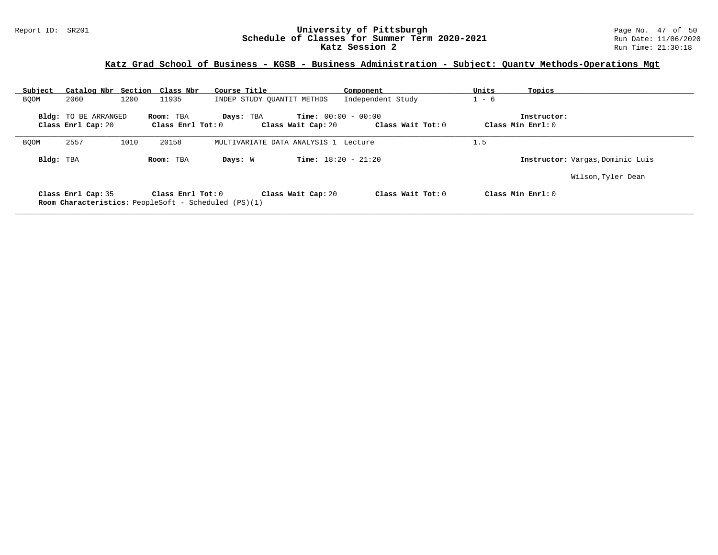### Report ID: SR201 **University of Pittsburgh** Page No. 47 of 50 **Schedule of Classes for Summer Term 2020-2021** Run Date: 11/06/2020 **Katz Session 2** Run Time: 21:30:18

# **Katz Grad School of Business - KGSB - Business Administration - Subject: Quantv Methods-Operations Mgt**

| Subject     | Catalog Nbr Section Class Nbr                     |      |                                                                                  | Course Title                         | Component                                         | Units   | Topics                           |
|-------------|---------------------------------------------------|------|----------------------------------------------------------------------------------|--------------------------------------|---------------------------------------------------|---------|----------------------------------|
| BOOM        | 2060                                              | 1200 | 11935                                                                            | INDEP STUDY QUANTIT METHDS           | Independent Study                                 | $1 - 6$ |                                  |
|             | <b>Bldg:</b> TO BE ARRANGED<br>Class Enrl Cap: 20 |      | Room: TBA<br>Class $Enrl$ Tot: $0$                                               | Days: TBA<br>Class Wait Cap: 20      | <b>Time:</b> $00:00 - 00:00$<br>Class Wait Tot: 0 |         | Instructor:<br>Class Min Enrl: 0 |
| <b>BOOM</b> | 2557                                              | 1010 | 20158                                                                            | MULTIVARIATE DATA ANALYSIS 1 Lecture |                                                   | 1.5     |                                  |
| Bldg: TBA   |                                                   |      | Room: TBA                                                                        | Days: W                              | <b>Time:</b> $18:20 - 21:20$                      |         | Instructor: Vargas, Dominic Luis |
|             |                                                   |      |                                                                                  |                                      |                                                   |         | Wilson, Tyler Dean               |
|             | Class Enrl Cap: 35                                |      | Class Enrl Tot: 0<br><b>Room Characteristics:</b> PeopleSoft - Scheduled (PS)(1) | Class Wait Cap: 20                   | Class Wait Tot: 0                                 |         | Class Min Enrl: 0                |

**\_\_\_\_\_\_\_\_\_\_\_\_\_\_\_\_\_\_\_\_\_\_\_\_\_\_\_\_\_\_\_\_\_\_\_\_\_\_\_\_\_\_\_\_\_\_\_\_\_\_\_\_\_\_\_\_\_\_\_\_\_\_\_\_\_\_\_\_\_\_\_\_\_\_\_\_\_\_\_\_\_\_\_\_\_\_\_\_\_\_\_\_\_\_\_\_\_\_\_\_\_\_\_\_\_\_\_\_\_\_\_\_\_\_\_\_\_\_\_\_\_\_\_\_\_\_\_\_\_\_\_\_\_\_\_\_\_\_\_\_\_\_\_\_\_\_\_\_\_\_\_\_\_\_\_\_**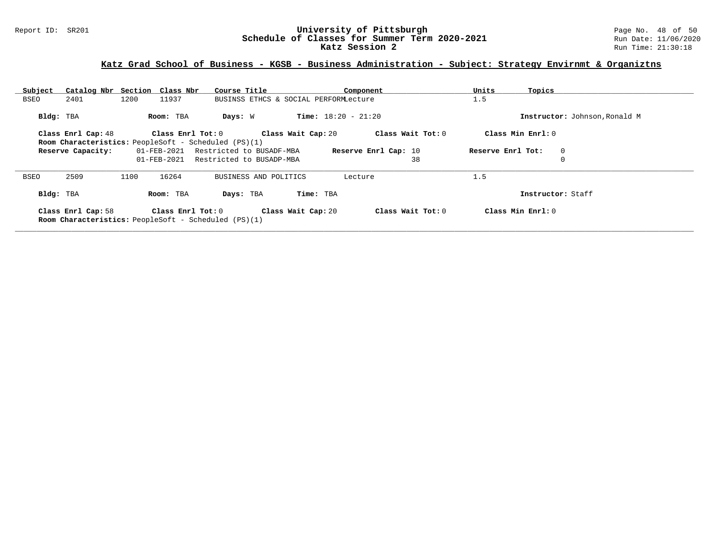### Report ID: SR201 **University of Pittsburgh** Page No. 48 of 50 **Schedule of Classes for Summer Term 2020-2021** Run Date: 11/06/2020 **Katz Session 2** Run Time: 21:30:18

# **Katz Grad School of Business - KGSB - Business Administration - Subject: Strategy Envirnmt & Organiztns**

| Subject             | Catalog Nbr Section Class Nbr                               |                     | Course Title             |                                       | Component            | Units             | Topics                        |
|---------------------|-------------------------------------------------------------|---------------------|--------------------------|---------------------------------------|----------------------|-------------------|-------------------------------|
| 2401<br>BSEO        | 1200                                                        | 11937               |                          | BUSINSS ETHCS & SOCIAL PERFORMLecture |                      | 1.5               |                               |
| Bldg: TBA           |                                                             | Room: TBA           | Days: W                  | <b>Time:</b> $18:20 - 21:20$          |                      |                   | Instructor: Johnson, Ronald M |
| Class Enrl Cap: 48  |                                                             | Class Enrl Tot: $0$ |                          | Class Wait Cap: 20                    | Class Wait Tot: 0    | Class Min Enrl: 0 |                               |
|                     | <b>Room Characteristics:</b> PeopleSoft - Scheduled (PS)(1) |                     |                          |                                       |                      |                   |                               |
| Reserve Capacity:   |                                                             | 01-FEB-2021         | Restricted to BUSADF-MBA |                                       | Reserve Enrl Cap: 10 | Reserve Enrl Tot: | $\mathbf 0$                   |
|                     |                                                             | $01 - FEB - 2021$   | Restricted to BUSADP-MBA |                                       | 38                   |                   | $\mathbf 0$                   |
| 2509<br><b>BSEO</b> | 1100                                                        | 16264               | BUSINESS AND POLITICS    |                                       | Lecture              | 1.5               |                               |
| Bldg: TBA           |                                                             | Room: TBA           | Days: TBA                | Time: TBA                             |                      |                   | Instructor: Staff             |
| Class Enrl Cap: 58  | <b>Room Characteristics:</b> PeopleSoft - Scheduled (PS)(1) | Class Enrl Tot: 0   |                          | Class Wait Cap: 20                    | Class Wait Tot: 0    | Class Min Enrl: 0 |                               |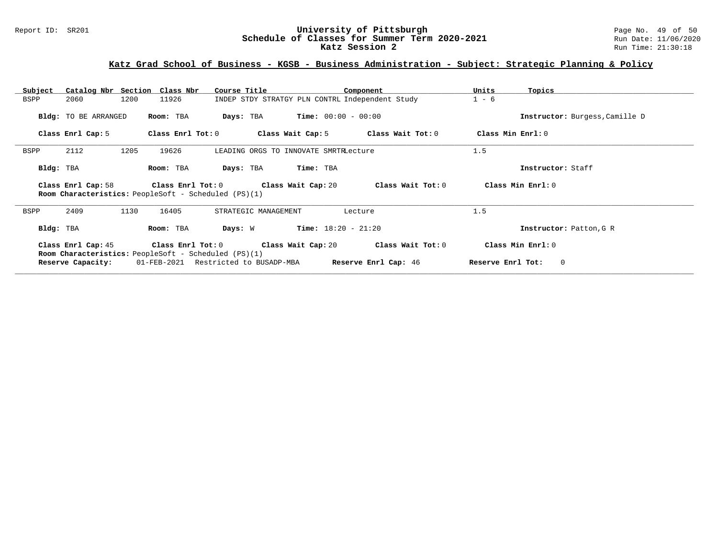### Report ID: SR201 **University of Pittsburgh** Page No. 49 of 50 **Schedule of Classes for Summer Term 2020-2021** Run Date: 11/06/2020 **Katz Session 2** Run Time: 21:30:18

# **Katz Grad School of Business - KGSB - Business Administration - Subject: Strategic Planning & Policy**

| Subject                                                                                                                                           |                                                                                   | Catalog Nbr Section Class Nbr                                    | Course Title                          |                       | Component         | Units             | Topics                         |  |  |
|---------------------------------------------------------------------------------------------------------------------------------------------------|-----------------------------------------------------------------------------------|------------------------------------------------------------------|---------------------------------------|-----------------------|-------------------|-------------------|--------------------------------|--|--|
| BSPP                                                                                                                                              | 2060                                                                              | 1200<br>11926<br>INDEP STDY STRATGY PLN CONTRL Independent Study |                                       | $1 - 6$               |                   |                   |                                |  |  |
|                                                                                                                                                   | Bldg: TO BE ARRANGED                                                              | Room: TBA                                                        | Days: TBA                             | $Time: 00:00 - 00:00$ |                   |                   | Instructor: Burgess, Camille D |  |  |
|                                                                                                                                                   | Class Enrl Cap: 5                                                                 | Class Enrl Tot: 0                                                | Class Wait Cap: 5                     |                       | Class Wait Tot: 0 | Class Min Enrl: 0 |                                |  |  |
| BSPP                                                                                                                                              | 2112                                                                              | 1205<br>19626                                                    | LEADING ORGS TO INNOVATE SMRTRLecture |                       |                   | 1.5               |                                |  |  |
| Bldg: TBA                                                                                                                                         |                                                                                   | Room: TBA                                                        | Days: TBA                             | Time: TBA             |                   |                   | Instructor: Staff              |  |  |
|                                                                                                                                                   | Class Enrl Cap: 58<br><b>Room Characteristics:</b> PeopleSoft - Scheduled (PS)(1) | Class Min Enrl: 0                                                |                                       |                       |                   |                   |                                |  |  |
| BSPP                                                                                                                                              | 2409                                                                              | 1130<br>16405                                                    | STRATEGIC MANAGEMENT                  |                       | Lecture           | 1.5               |                                |  |  |
| Bldg: TBA                                                                                                                                         |                                                                                   | Room: TBA                                                        | Days: W                               | $Time: 18:20 - 21:20$ |                   |                   | Instructor: Patton, G R        |  |  |
| Class Enrl Tot: 0<br>Class Wait Cap: 20<br>Class Wait Tot: 0<br>Class Enrl Cap: 45<br><b>Room Characteristics:</b> PeopleSoft - Scheduled (PS)(1) |                                                                                   |                                                                  |                                       |                       |                   |                   | Class Min Enrl: 0              |  |  |
| <b>Reserve Enrl Cap:</b> 46<br>01-FEB-2021 Restricted to BUSADP-MBA<br>Reserve Enrl Tot:<br>$\circ$<br>Reserve Capacity:                          |                                                                                   |                                                                  |                                       |                       |                   |                   |                                |  |  |